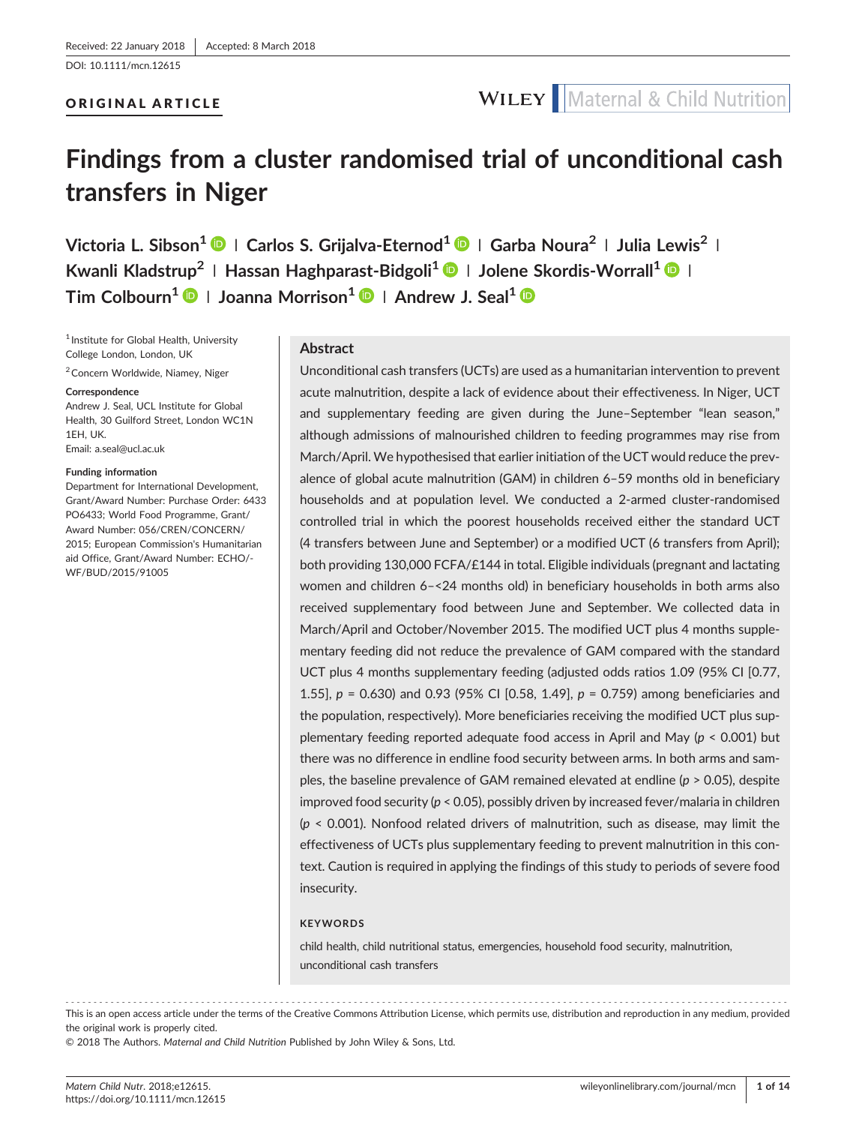## ORIGINAL ARTICLE

# **Findings from a cluster randomised trial of unconditional cash transfers in Niger**

**Victoria L. Sibson<sup>1</sup> <sup>|</sup> Carlos S. Grijalva‐Eternod<sup>1</sup> <sup>|</sup> Garba Noura<sup>2</sup> <sup>|</sup> Julia Lewis2 <sup>|</sup> Kwanli Kladstrup2 <sup>|</sup> Hassan Haghparast‐Bidgoli1 <sup>|</sup> Jolene Skordis‐Worrall<sup>1</sup> <sup>|</sup> Tim Colbourn1 <sup>|</sup> Joanna Morrison<sup>1</sup> <sup>|</sup> Andrew J. Seal<sup>1</sup>**

<sup>1</sup> Institute for Global Health, University College London, London, UK

<sup>2</sup> Concern Worldwide, Niamey, Niger

#### **Correspondence**

Andrew J. Seal, UCL Institute for Global Health, 30 Guilford Street, London WC1N 1EH, UK. Email: [a.seal@ucl.ac.uk](mailto:a.seal@ucl.ac.uk)

#### **Funding information**

Department for International Development, Grant/Award Number: Purchase Order: 6433 PO6433; World Food Programme, Grant/ Award Number: 056/CREN/CONCERN/ 2015; European Commission's Humanitarian aid Office, Grant/Award Number: ECHO/‐ WF/BUD/2015/91005

#### **Abstract**

Unconditional cash transfers (UCTs) are used as a humanitarian intervention to prevent acute malnutrition, despite a lack of evidence about their effectiveness. In Niger, UCT and supplementary feeding are given during the June–September "lean season," although admissions of malnourished children to feeding programmes may rise from March/April. We hypothesised that earlier initiation of the UCT would reduce the prevalence of global acute malnutrition (GAM) in children 6–59 months old in beneficiary households and at population level. We conducted a 2‐armed cluster‐randomised controlled trial in which the poorest households received either the standard UCT (4 transfers between June and September) or a modified UCT (6 transfers from April); both providing 130,000 FCFA/£144 in total. Eligible individuals (pregnant and lactating women and children 6–<24 months old) in beneficiary households in both arms also received supplementary food between June and September. We collected data in March/April and October/November 2015. The modified UCT plus 4 months supplementary feeding did not reduce the prevalence of GAM compared with the standard UCT plus 4 months supplementary feeding (adjusted odds ratios 1.09 (95% CI [0.77, 1.55], *p* = 0.630) and 0.93 (95% CI [0.58, 1.49], *p* = 0.759) among beneficiaries and the population, respectively). More beneficiaries receiving the modified UCT plus supplementary feeding reported adequate food access in April and May (*p* < 0.001) but there was no difference in endline food security between arms. In both arms and samples, the baseline prevalence of GAM remained elevated at endline (*p* > 0.05), despite improved food security (*p* < 0.05), possibly driven by increased fever/malaria in children (*p* < 0.001). Nonfood related drivers of malnutrition, such as disease, may limit the effectiveness of UCTs plus supplementary feeding to prevent malnutrition in this context. Caution is required in applying the findings of this study to periods of severe food insecurity.

#### **KEYWORDS**

child health, child nutritional status, emergencies, household food security, malnutrition, unconditional cash transfers

------------------------------------------------------------------------------------------------------------------------------- - This is an open access article under the terms of the [Creative Commons Attribution](http://creativecommons.org/licenses/by/4.0/) License, which permits use, distribution and reproduction in any medium, provided the original work is properly cited.

© 2018 The Authors. *Maternal and Child Nutrition* Published by John Wiley & Sons, Ltd.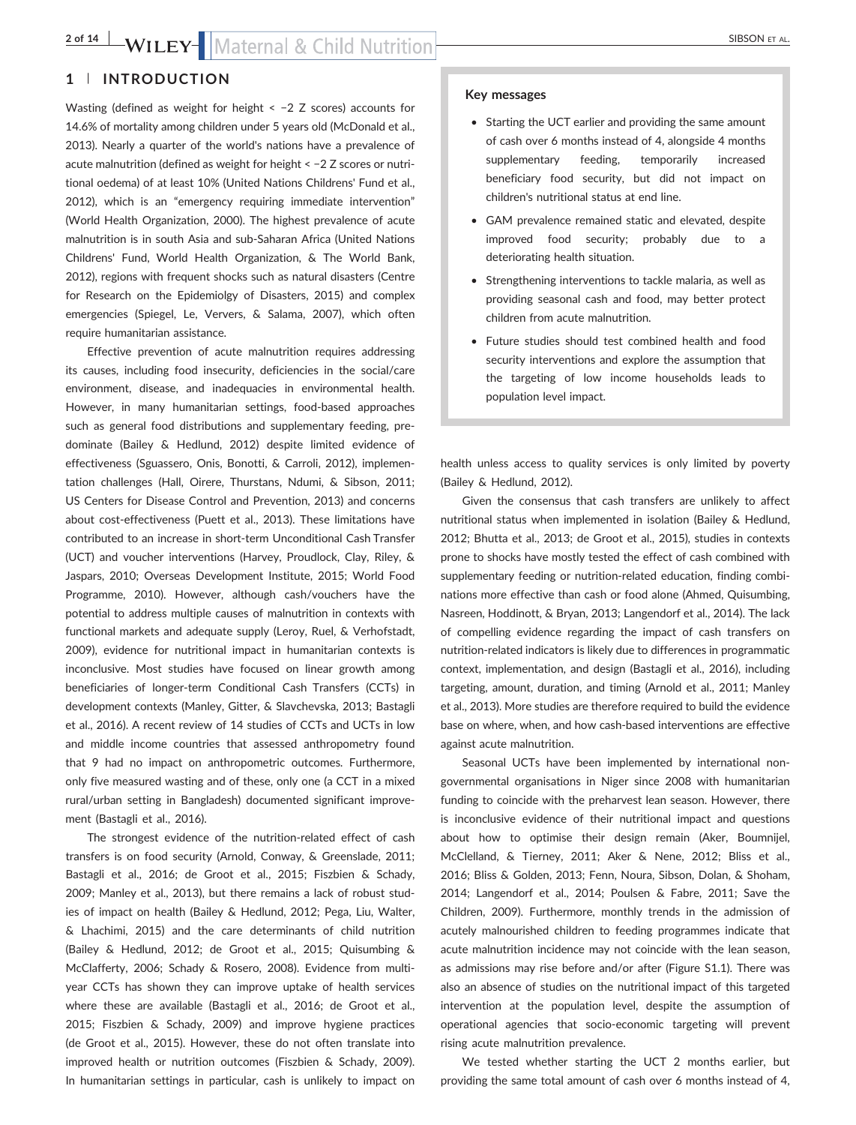## **2 of 14 BSON ET AL.** SIBSON ET AL.

## **1** | **INTRODUCTION**

Wasting (defined as weight for height < −2 Z scores) accounts for 14.6% of mortality among children under 5 years old (McDonald et al., 2013). Nearly a quarter of the world's nations have a prevalence of acute malnutrition (defined as weight for height < −2 Z scores or nutritional oedema) of at least 10% (United Nations Childrens' Fund et al., 2012), which is an "emergency requiring immediate intervention" (World Health Organization, 2000). The highest prevalence of acute malnutrition is in south Asia and sub‐Saharan Africa (United Nations Childrens' Fund, World Health Organization, & The World Bank, 2012), regions with frequent shocks such as natural disasters (Centre for Research on the Epidemiolgy of Disasters, 2015) and complex emergencies (Spiegel, Le, Ververs, & Salama, 2007), which often require humanitarian assistance.

Effective prevention of acute malnutrition requires addressing its causes, including food insecurity, deficiencies in the social/care environment, disease, and inadequacies in environmental health. However, in many humanitarian settings, food‐based approaches such as general food distributions and supplementary feeding, predominate (Bailey & Hedlund, 2012) despite limited evidence of effectiveness (Sguassero, Onis, Bonotti, & Carroli, 2012), implementation challenges (Hall, Oirere, Thurstans, Ndumi, & Sibson, 2011; US Centers for Disease Control and Prevention, 2013) and concerns about cost-effectiveness (Puett et al., 2013). These limitations have contributed to an increase in short‐term Unconditional Cash Transfer (UCT) and voucher interventions (Harvey, Proudlock, Clay, Riley, & Jaspars, 2010; Overseas Development Institute, 2015; World Food Programme, 2010). However, although cash/vouchers have the potential to address multiple causes of malnutrition in contexts with functional markets and adequate supply (Leroy, Ruel, & Verhofstadt, 2009), evidence for nutritional impact in humanitarian contexts is inconclusive. Most studies have focused on linear growth among beneficiaries of longer‐term Conditional Cash Transfers (CCTs) in development contexts (Manley, Gitter, & Slavchevska, 2013; Bastagli et al., 2016). A recent review of 14 studies of CCTs and UCTs in low and middle income countries that assessed anthropometry found that 9 had no impact on anthropometric outcomes. Furthermore, only five measured wasting and of these, only one (a CCT in a mixed rural/urban setting in Bangladesh) documented significant improvement (Bastagli et al., 2016).

The strongest evidence of the nutrition-related effect of cash transfers is on food security (Arnold, Conway, & Greenslade, 2011; Bastagli et al., 2016; de Groot et al., 2015; Fiszbien & Schady, 2009; Manley et al., 2013), but there remains a lack of robust studies of impact on health (Bailey & Hedlund, 2012; Pega, Liu, Walter, & Lhachimi, 2015) and the care determinants of child nutrition (Bailey & Hedlund, 2012; de Groot et al., 2015; Quisumbing & McClafferty, 2006; Schady & Rosero, 2008). Evidence from multiyear CCTs has shown they can improve uptake of health services where these are available (Bastagli et al., 2016; de Groot et al., 2015; Fiszbien & Schady, 2009) and improve hygiene practices (de Groot et al., 2015). However, these do not often translate into improved health or nutrition outcomes (Fiszbien & Schady, 2009). In humanitarian settings in particular, cash is unlikely to impact on

#### **Key messages**

- Starting the UCT earlier and providing the same amount of cash over 6 months instead of 4, alongside 4 months supplementary feeding, temporarily increased beneficiary food security, but did not impact on children's nutritional status at end line.
- GAM prevalence remained static and elevated, despite improved food security; probably due to a deteriorating health situation.
- Strengthening interventions to tackle malaria, as well as providing seasonal cash and food, may better protect children from acute malnutrition.
- Future studies should test combined health and food security interventions and explore the assumption that the targeting of low income households leads to population level impact.

health unless access to quality services is only limited by poverty (Bailey & Hedlund, 2012).

Given the consensus that cash transfers are unlikely to affect nutritional status when implemented in isolation (Bailey & Hedlund, 2012; Bhutta et al., 2013; de Groot et al., 2015), studies in contexts prone to shocks have mostly tested the effect of cash combined with supplementary feeding or nutrition-related education, finding combinations more effective than cash or food alone (Ahmed, Quisumbing, Nasreen, Hoddinott, & Bryan, 2013; Langendorf et al., 2014). The lack of compelling evidence regarding the impact of cash transfers on nutrition‐related indicators is likely due to differences in programmatic context, implementation, and design (Bastagli et al., 2016), including targeting, amount, duration, and timing (Arnold et al., 2011; Manley et al., 2013). More studies are therefore required to build the evidence base on where, when, and how cash‐based interventions are effective against acute malnutrition.

Seasonal UCTs have been implemented by international non‐ governmental organisations in Niger since 2008 with humanitarian funding to coincide with the preharvest lean season. However, there is inconclusive evidence of their nutritional impact and questions about how to optimise their design remain (Aker, Boumnijel, McClelland, & Tierney, 2011; Aker & Nene, 2012; Bliss et al., 2016; Bliss & Golden, 2013; Fenn, Noura, Sibson, Dolan, & Shoham, 2014; Langendorf et al., 2014; Poulsen & Fabre, 2011; Save the Children, 2009). Furthermore, monthly trends in the admission of acutely malnourished children to feeding programmes indicate that acute malnutrition incidence may not coincide with the lean season, as admissions may rise before and/or after (Figure S1.1). There was also an absence of studies on the nutritional impact of this targeted intervention at the population level, despite the assumption of operational agencies that socio‐economic targeting will prevent rising acute malnutrition prevalence.

We tested whether starting the UCT 2 months earlier, but providing the same total amount of cash over 6 months instead of 4,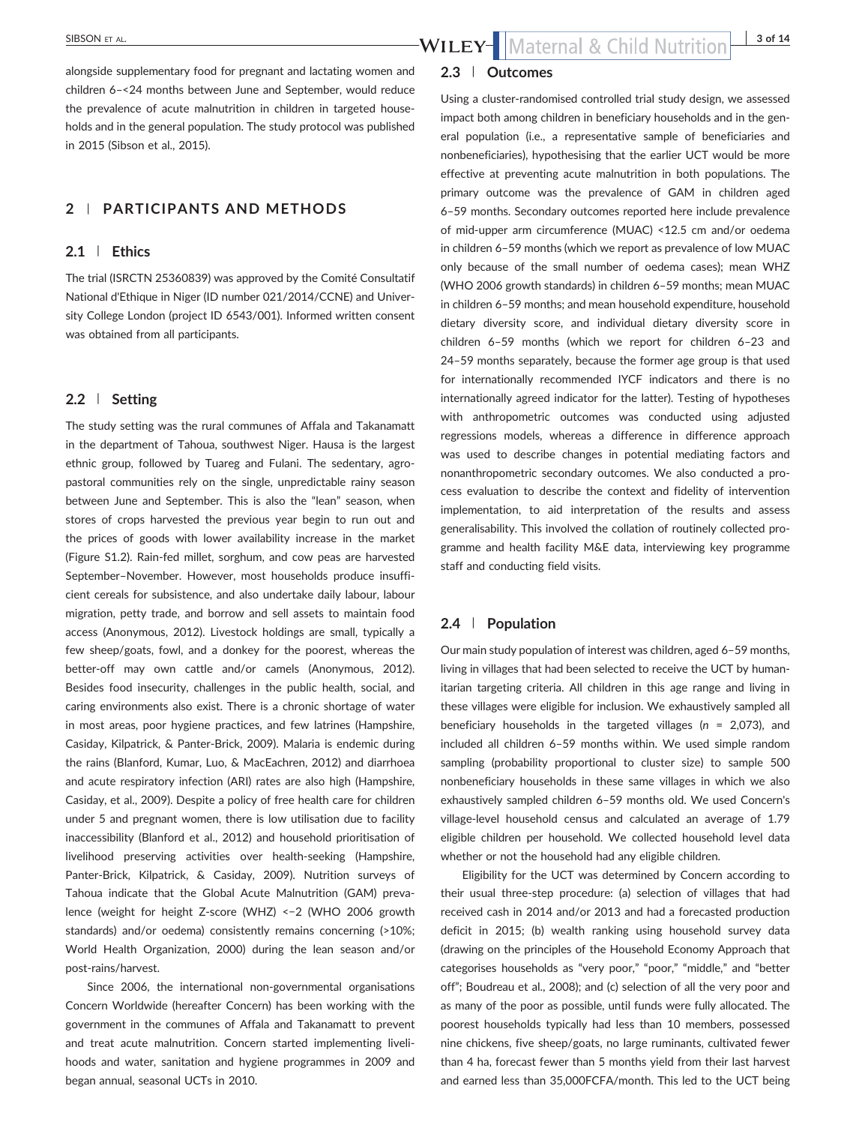alongside supplementary food for pregnant and lactating women and children 6–<24 months between June and September, would reduce the prevalence of acute malnutrition in children in targeted households and in the general population. The study protocol was published in 2015 (Sibson et al., 2015).

### **2** | **PARTICIPANTS AND METHODS**

### **2.1** | **Ethics**

The trial (ISRCTN 25360839) was approved by the Comité Consultatif National d'Ethique in Niger (ID number 021/2014/CCNE) and University College London (project ID 6543/001). Informed written consent was obtained from all participants.

#### **2.2** | **Setting**

The study setting was the rural communes of Affala and Takanamatt in the department of Tahoua, southwest Niger. Hausa is the largest ethnic group, followed by Tuareg and Fulani. The sedentary, agropastoral communities rely on the single, unpredictable rainy season between June and September. This is also the "lean" season, when stores of crops harvested the previous year begin to run out and the prices of goods with lower availability increase in the market (Figure S1.2). Rain‐fed millet, sorghum, and cow peas are harvested September–November. However, most households produce insufficient cereals for subsistence, and also undertake daily labour, labour migration, petty trade, and borrow and sell assets to maintain food access (Anonymous, 2012). Livestock holdings are small, typically a few sheep/goats, fowl, and a donkey for the poorest, whereas the better‐off may own cattle and/or camels (Anonymous, 2012). Besides food insecurity, challenges in the public health, social, and caring environments also exist. There is a chronic shortage of water in most areas, poor hygiene practices, and few latrines (Hampshire, Casiday, Kilpatrick, & Panter‐Brick, 2009). Malaria is endemic during the rains (Blanford, Kumar, Luo, & MacEachren, 2012) and diarrhoea and acute respiratory infection (ARI) rates are also high (Hampshire, Casiday, et al., 2009). Despite a policy of free health care for children under 5 and pregnant women, there is low utilisation due to facility inaccessibility (Blanford et al., 2012) and household prioritisation of livelihood preserving activities over health‐seeking (Hampshire, Panter‐Brick, Kilpatrick, & Casiday, 2009). Nutrition surveys of Tahoua indicate that the Global Acute Malnutrition (GAM) prevalence (weight for height Z‐score (WHZ) <−2 (WHO 2006 growth standards) and/or oedema) consistently remains concerning (>10%; World Health Organization, 2000) during the lean season and/or post‐rains/harvest.

Since 2006, the international non‐governmental organisations Concern Worldwide (hereafter Concern) has been working with the government in the communes of Affala and Takanamatt to prevent and treat acute malnutrition. Concern started implementing livelihoods and water, sanitation and hygiene programmes in 2009 and began annual, seasonal UCTs in 2010.

### **2.3** | **Outcomes**

Using a cluster‐randomised controlled trial study design, we assessed impact both among children in beneficiary households and in the general population (i.e., a representative sample of beneficiaries and nonbeneficiaries), hypothesising that the earlier UCT would be more effective at preventing acute malnutrition in both populations. The primary outcome was the prevalence of GAM in children aged 6–59 months. Secondary outcomes reported here include prevalence of mid‐upper arm circumference (MUAC) <12.5 cm and/or oedema in children 6–59 months (which we report as prevalence of low MUAC only because of the small number of oedema cases); mean WHZ (WHO 2006 growth standards) in children 6–59 months; mean MUAC in children 6–59 months; and mean household expenditure, household dietary diversity score, and individual dietary diversity score in children 6–59 months (which we report for children 6–23 and 24–59 months separately, because the former age group is that used for internationally recommended IYCF indicators and there is no internationally agreed indicator for the latter). Testing of hypotheses with anthropometric outcomes was conducted using adjusted regressions models, whereas a difference in difference approach was used to describe changes in potential mediating factors and nonanthropometric secondary outcomes. We also conducted a process evaluation to describe the context and fidelity of intervention implementation, to aid interpretation of the results and assess generalisability. This involved the collation of routinely collected programme and health facility M&E data, interviewing key programme staff and conducting field visits.

#### **2.4** | **Population**

Our main study population of interest was children, aged 6–59 months, living in villages that had been selected to receive the UCT by humanitarian targeting criteria. All children in this age range and living in these villages were eligible for inclusion. We exhaustively sampled all beneficiary households in the targeted villages (*n* = 2,073), and included all children 6–59 months within. We used simple random sampling (probability proportional to cluster size) to sample 500 nonbeneficiary households in these same villages in which we also exhaustively sampled children 6–59 months old. We used Concern's village‐level household census and calculated an average of 1.79 eligible children per household. We collected household level data whether or not the household had any eligible children.

Eligibility for the UCT was determined by Concern according to their usual three‐step procedure: (a) selection of villages that had received cash in 2014 and/or 2013 and had a forecasted production deficit in 2015; (b) wealth ranking using household survey data (drawing on the principles of the Household Economy Approach that categorises households as "very poor," "poor," "middle," and "better off"; Boudreau et al., 2008); and (c) selection of all the very poor and as many of the poor as possible, until funds were fully allocated. The poorest households typically had less than 10 members, possessed nine chickens, five sheep/goats, no large ruminants, cultivated fewer than 4 ha, forecast fewer than 5 months yield from their last harvest and earned less than 35,000FCFA/month. This led to the UCT being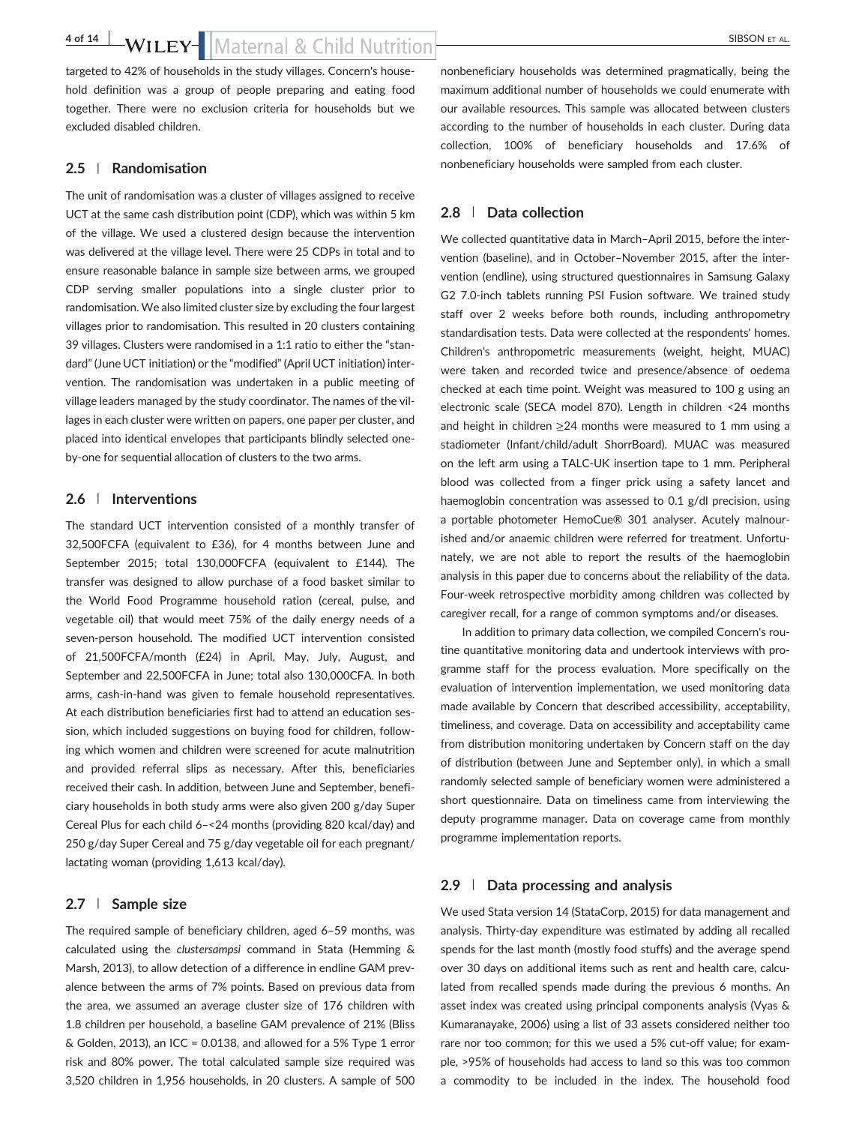## **4 of 14 BSON ET AL.** SIBSON ET AL.

targeted to 42% of households in the study villages. Concern's household definition was a group of people preparing and eating food together. There were no exclusion criteria for households but we excluded disabled children.

#### **2.5** | **Randomisation**

The unit of randomisation was a cluster of villages assigned to receive UCT at the same cash distribution point (CDP), which was within 5 km of the village. We used a clustered design because the intervention was delivered at the village level. There were 25 CDPs in total and to ensure reasonable balance in sample size between arms, we grouped CDP serving smaller populations into a single cluster prior to randomisation. We also limited cluster size by excluding the four largest villages prior to randomisation. This resulted in 20 clusters containing 39 villages. Clusters were randomised in a 1:1 ratio to either the "standard" (June UCT initiation) or the "modified" (April UCT initiation) intervention. The randomisation was undertaken in a public meeting of village leaders managed by the study coordinator. The names of the villages in each cluster were written on papers, one paper per cluster, and placed into identical envelopes that participants blindly selected one‐ by-one for sequential allocation of clusters to the two arms.

### **2.6** | **Interventions**

The standard UCT intervention consisted of a monthly transfer of 32,500FCFA (equivalent to £36), for 4 months between June and September 2015; total 130,000FCFA (equivalent to £144). The transfer was designed to allow purchase of a food basket similar to the World Food Programme household ration (cereal, pulse, and vegetable oil) that would meet 75% of the daily energy needs of a seven-person household. The modified UCT intervention consisted of 21,500FCFA/month (£24) in April, May, July, August, and September and 22,500FCFA in June; total also 130,000CFA. In both arms, cash‐in‐hand was given to female household representatives. At each distribution beneficiaries first had to attend an education session, which included suggestions on buying food for children, following which women and children were screened for acute malnutrition and provided referral slips as necessary. After this, beneficiaries received their cash. In addition, between June and September, beneficiary households in both study arms were also given 200 g/day Super Cereal Plus for each child 6–<24 months (providing 820 kcal/day) and 250 g/day Super Cereal and 75 g/day vegetable oil for each pregnant/ lactating woman (providing 1,613 kcal/day).

#### **2.7** | **Sample size**

The required sample of beneficiary children, aged 6–59 months, was calculated using the *clustersampsi* command in Stata (Hemming & Marsh, 2013), to allow detection of a difference in endline GAM prevalence between the arms of 7% points. Based on previous data from the area, we assumed an average cluster size of 176 children with 1.8 children per household, a baseline GAM prevalence of 21% (Bliss  $&$  Golden, 2013), an ICC = 0.0138, and allowed for a 5% Type 1 error risk and 80% power. The total calculated sample size required was 3,520 children in 1,956 households, in 20 clusters. A sample of 500 nonbeneficiary households was determined pragmatically, being the maximum additional number of households we could enumerate with our available resources. This sample was allocated between clusters according to the number of households in each cluster. During data collection, 100% of beneficiary households and 17.6% of nonbeneficiary households were sampled from each cluster.

#### **2.8** | **Data collection**

We collected quantitative data in March–April 2015, before the intervention (baseline), and in October–November 2015, after the intervention (endline), using structured questionnaires in Samsung Galaxy G2 7.0‐inch tablets running PSI Fusion software. We trained study staff over 2 weeks before both rounds, including anthropometry standardisation tests. Data were collected at the respondents' homes. Children's anthropometric measurements (weight, height, MUAC) were taken and recorded twice and presence/absence of oedema checked at each time point. Weight was measured to 100 g using an electronic scale (SECA model 870). Length in children <24 months and height in children  $\geq$ 24 months were measured to 1 mm using a stadiometer (Infant/child/adult ShorrBoard). MUAC was measured on the left arm using a TALC‐UK insertion tape to 1 mm. Peripheral blood was collected from a finger prick using a safety lancet and haemoglobin concentration was assessed to 0.1 g/dl precision, using a portable photometer HemoCue® 301 analyser. Acutely malnourished and/or anaemic children were referred for treatment. Unfortunately, we are not able to report the results of the haemoglobin analysis in this paper due to concerns about the reliability of the data. Four‐week retrospective morbidity among children was collected by caregiver recall, for a range of common symptoms and/or diseases.

In addition to primary data collection, we compiled Concern's routine quantitative monitoring data and undertook interviews with programme staff for the process evaluation. More specifically on the evaluation of intervention implementation, we used monitoring data made available by Concern that described accessibility, acceptability, timeliness, and coverage. Data on accessibility and acceptability came from distribution monitoring undertaken by Concern staff on the day of distribution (between June and September only), in which a small randomly selected sample of beneficiary women were administered a short questionnaire. Data on timeliness came from interviewing the deputy programme manager. Data on coverage came from monthly programme implementation reports.

#### **2.9** | **Data processing and analysis**

We used Stata version 14 (StataCorp, 2015) for data management and analysis. Thirty-day expenditure was estimated by adding all recalled spends for the last month (mostly food stuffs) and the average spend over 30 days on additional items such as rent and health care, calculated from recalled spends made during the previous 6 months. An asset index was created using principal components analysis (Vyas & Kumaranayake, 2006) using a list of 33 assets considered neither too rare nor too common; for this we used a 5% cut‐off value; for example, >95% of households had access to land so this was too common a commodity to be included in the index. The household food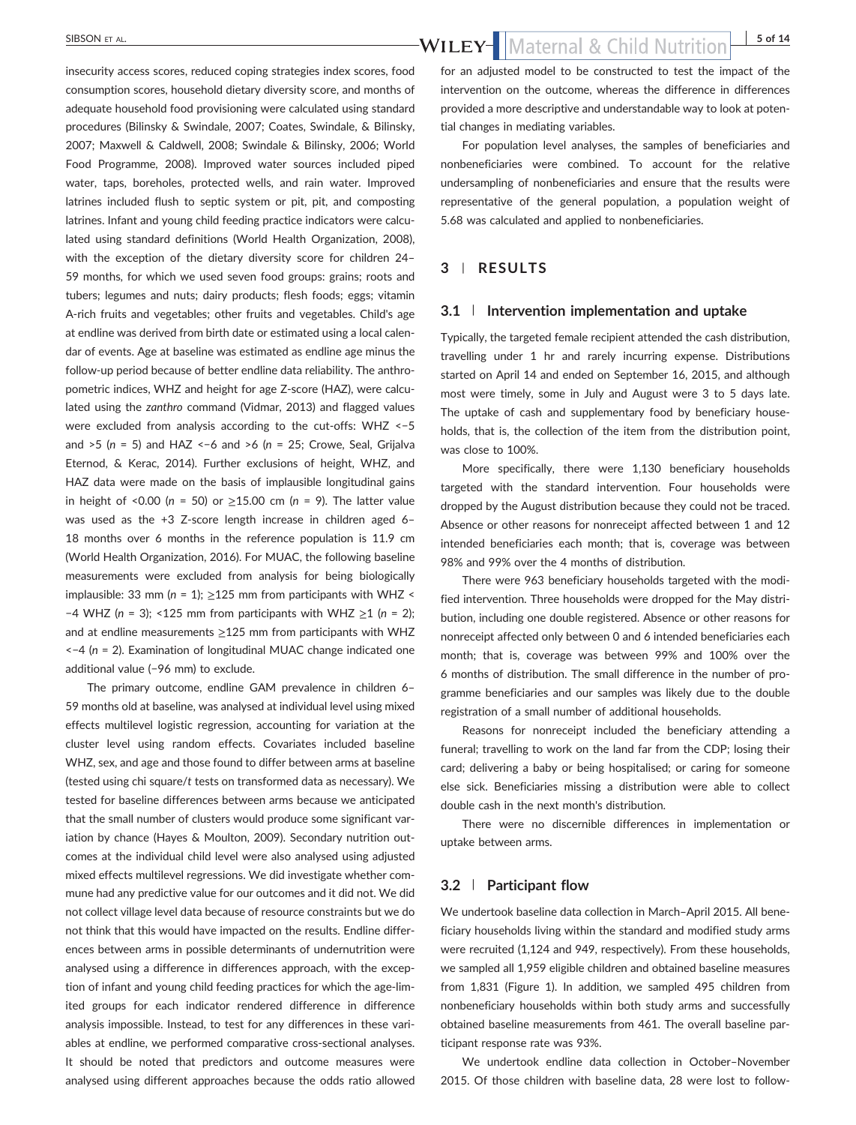insecurity access scores, reduced coping strategies index scores, food consumption scores, household dietary diversity score, and months of adequate household food provisioning were calculated using standard procedures (Bilinsky & Swindale, 2007; Coates, Swindale, & Bilinsky, 2007; Maxwell & Caldwell, 2008; Swindale & Bilinsky, 2006; World Food Programme, 2008). Improved water sources included piped water, taps, boreholes, protected wells, and rain water. Improved latrines included flush to septic system or pit, pit, and composting latrines. Infant and young child feeding practice indicators were calculated using standard definitions (World Health Organization, 2008), with the exception of the dietary diversity score for children 24– 59 months, for which we used seven food groups: grains; roots and tubers; legumes and nuts; dairy products; flesh foods; eggs; vitamin A‐rich fruits and vegetables; other fruits and vegetables. Child's age at endline was derived from birth date or estimated using a local calendar of events. Age at baseline was estimated as endline age minus the follow‐up period because of better endline data reliability. The anthropometric indices, WHZ and height for age Z-score (HAZ), were calculated using the *zanthro* command (Vidmar, 2013) and flagged values were excluded from analysis according to the cut-offs: WHZ <-5 and >5 (*n* = 5) and HAZ <−6 and >6 (*n* = 25; Crowe, Seal, Grijalva Eternod, & Kerac, 2014). Further exclusions of height, WHZ, and HAZ data were made on the basis of implausible longitudinal gains in height of <0.00 ( $n = 50$ ) or  $\geq 15.00$  cm ( $n = 9$ ). The latter value was used as the +3 Z-score length increase in children aged 6-18 months over 6 months in the reference population is 11.9 cm (World Health Organization, 2016). For MUAC, the following baseline measurements were excluded from analysis for being biologically implausible: 33 mm ( $n = 1$ );  $\geq 125$  mm from participants with WHZ < −4 WHZ (*n* = 3); <125 mm from participants with WHZ ≥1 (*n* = 2); and at endline measurements  $\geq$ 125 mm from participants with WHZ <−4 (*n* = 2). Examination of longitudinal MUAC change indicated one additional value (−96 mm) to exclude.

The primary outcome, endline GAM prevalence in children 6– 59 months old at baseline, was analysed at individual level using mixed effects multilevel logistic regression, accounting for variation at the cluster level using random effects. Covariates included baseline WHZ, sex, and age and those found to differ between arms at baseline (tested using chi square/*t* tests on transformed data as necessary). We tested for baseline differences between arms because we anticipated that the small number of clusters would produce some significant variation by chance (Hayes & Moulton, 2009). Secondary nutrition outcomes at the individual child level were also analysed using adjusted mixed effects multilevel regressions. We did investigate whether commune had any predictive value for our outcomes and it did not. We did not collect village level data because of resource constraints but we do not think that this would have impacted on the results. Endline differences between arms in possible determinants of undernutrition were analysed using a difference in differences approach, with the exception of infant and young child feeding practices for which the age‐limited groups for each indicator rendered difference in difference analysis impossible. Instead, to test for any differences in these variables at endline, we performed comparative cross‐sectional analyses. It should be noted that predictors and outcome measures were analysed using different approaches because the odds ratio allowed

for an adjusted model to be constructed to test the impact of the intervention on the outcome, whereas the difference in differences provided a more descriptive and understandable way to look at potential changes in mediating variables.

For population level analyses, the samples of beneficiaries and nonbeneficiaries were combined. To account for the relative undersampling of nonbeneficiaries and ensure that the results were representative of the general population, a population weight of 5.68 was calculated and applied to nonbeneficiaries.

#### **3** | **RESULTS**

#### **3.1** | **Intervention implementation and uptake**

Typically, the targeted female recipient attended the cash distribution, travelling under 1 hr and rarely incurring expense. Distributions started on April 14 and ended on September 16, 2015, and although most were timely, some in July and August were 3 to 5 days late. The uptake of cash and supplementary food by beneficiary households, that is, the collection of the item from the distribution point, was close to 100%.

More specifically, there were 1,130 beneficiary households targeted with the standard intervention. Four households were dropped by the August distribution because they could not be traced. Absence or other reasons for nonreceipt affected between 1 and 12 intended beneficiaries each month; that is, coverage was between 98% and 99% over the 4 months of distribution.

There were 963 beneficiary households targeted with the modified intervention. Three households were dropped for the May distribution, including one double registered. Absence or other reasons for nonreceipt affected only between 0 and 6 intended beneficiaries each month; that is, coverage was between 99% and 100% over the 6 months of distribution. The small difference in the number of programme beneficiaries and our samples was likely due to the double registration of a small number of additional households.

Reasons for nonreceipt included the beneficiary attending a funeral; travelling to work on the land far from the CDP; losing their card; delivering a baby or being hospitalised; or caring for someone else sick. Beneficiaries missing a distribution were able to collect double cash in the next month's distribution.

There were no discernible differences in implementation or uptake between arms.

#### **3.2** | **Participant flow**

We undertook baseline data collection in March–April 2015. All beneficiary households living within the standard and modified study arms were recruited (1,124 and 949, respectively). From these households, we sampled all 1,959 eligible children and obtained baseline measures from 1,831 (Figure 1). In addition, we sampled 495 children from nonbeneficiary households within both study arms and successfully obtained baseline measurements from 461. The overall baseline participant response rate was 93%.

We undertook endline data collection in October–November 2015. Of those children with baseline data, 28 were lost to follow-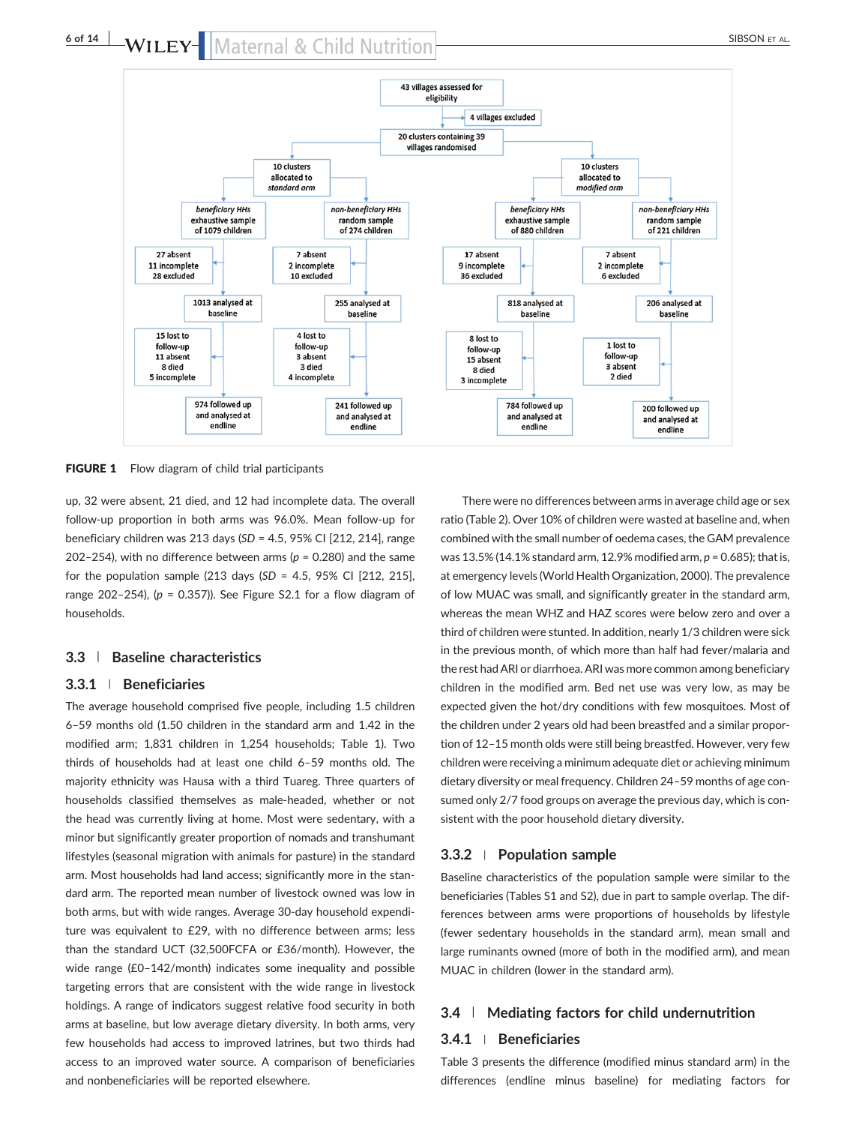

FIGURE 1 Flow diagram of child trial participants

up, 32 were absent, 21 died, and 12 had incomplete data. The overall follow‐up proportion in both arms was 96.0%. Mean follow‐up for beneficiary children was 213 days (*SD* = 4.5, 95% CI [212, 214], range 202–254), with no difference between arms ( $p = 0.280$ ) and the same for the population sample (213 days (*SD* = 4.5, 95% CI [212, 215], range 202–254), (*p* = 0.357)). See Figure S2.1 for a flow diagram of households.

#### **3.3** | **Baseline characteristics**

#### **3.3.1** <sup>|</sup> **Beneficiaries**

The average household comprised five people, including 1.5 children 6–59 months old (1.50 children in the standard arm and 1.42 in the modified arm; 1,831 children in 1,254 households; Table 1). Two thirds of households had at least one child 6–59 months old. The majority ethnicity was Hausa with a third Tuareg. Three quarters of households classified themselves as male‐headed, whether or not the head was currently living at home. Most were sedentary, with a minor but significantly greater proportion of nomads and transhumant lifestyles (seasonal migration with animals for pasture) in the standard arm. Most households had land access; significantly more in the standard arm. The reported mean number of livestock owned was low in both arms, but with wide ranges. Average 30‐day household expenditure was equivalent to £29, with no difference between arms; less than the standard UCT (32,500FCFA or £36/month). However, the wide range (£0–142/month) indicates some inequality and possible targeting errors that are consistent with the wide range in livestock holdings. A range of indicators suggest relative food security in both arms at baseline, but low average dietary diversity. In both arms, very few households had access to improved latrines, but two thirds had access to an improved water source. A comparison of beneficiaries and nonbeneficiaries will be reported elsewhere.

There were no differences between arms in average child age or sex ratio (Table 2). Over 10% of children were wasted at baseline and, when combined with the small number of oedema cases, the GAM prevalence was 13.5% (14.1% standard arm, 12.9% modified arm, *p* = 0.685); that is, at emergency levels (World Health Organization, 2000). The prevalence of low MUAC was small, and significantly greater in the standard arm, whereas the mean WHZ and HAZ scores were below zero and over a third of children were stunted. In addition, nearly 1/3 children were sick in the previous month, of which more than half had fever/malaria and the rest had ARI or diarrhoea. ARI was more common among beneficiary children in the modified arm. Bed net use was very low, as may be expected given the hot/dry conditions with few mosquitoes. Most of the children under 2 years old had been breastfed and a similar proportion of 12–15 month olds were still being breastfed. However, very few children were receiving a minimum adequate diet or achieving minimum dietary diversity or meal frequency. Children 24–59 months of age consumed only 2/7 food groups on average the previous day, which is consistent with the poor household dietary diversity.

#### **3.3.2** <sup>|</sup> **Population sample**

Baseline characteristics of the population sample were similar to the beneficiaries (Tables S1 and S2), due in part to sample overlap. The differences between arms were proportions of households by lifestyle (fewer sedentary households in the standard arm), mean small and large ruminants owned (more of both in the modified arm), and mean MUAC in children (lower in the standard arm).

#### **3.4** | **Mediating factors for child undernutrition**

#### **3.4.1** <sup>|</sup> **Beneficiaries**

Table 3 presents the difference (modified minus standard arm) in the differences (endline minus baseline) for mediating factors for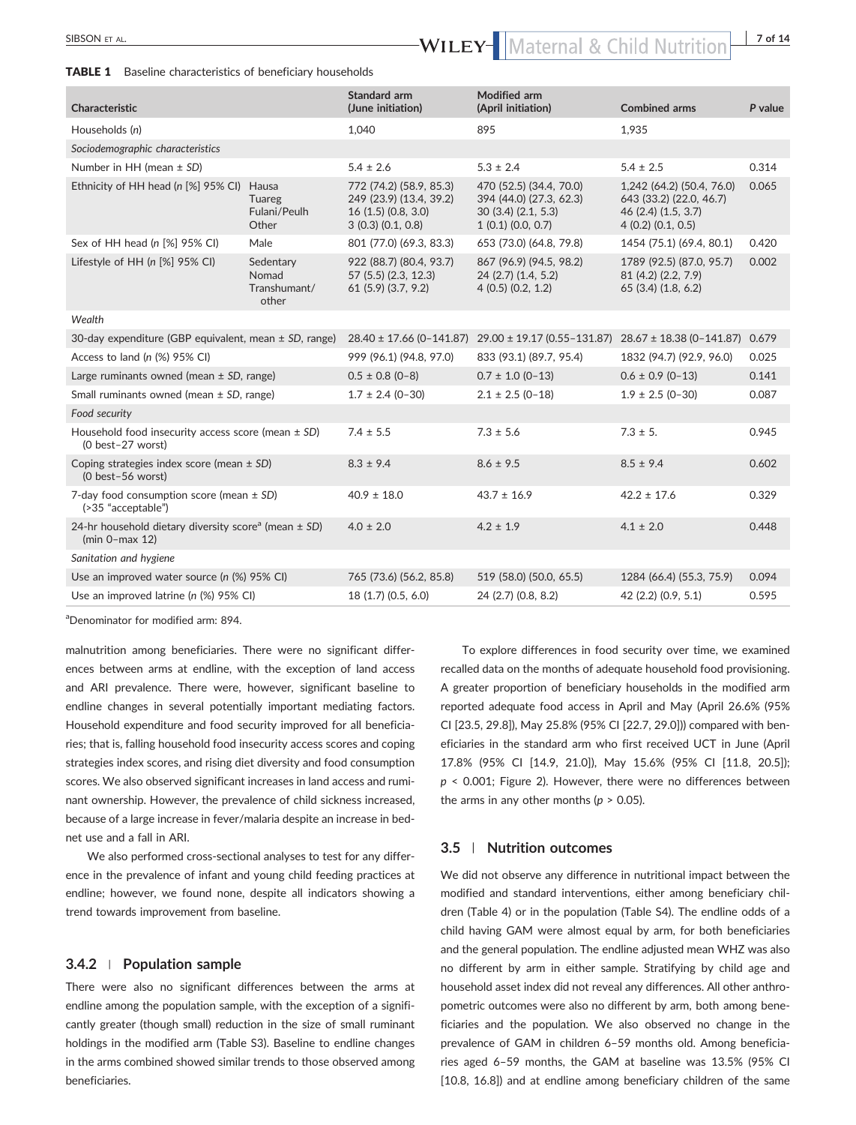# SIBSON ET AL. **FIRE AL. EXECUTE:** THE SIBSON ET AL. **bs** bandler and the set of the size of the size of the size of the size of the size of the size of the size of the size of the size of the size of the size of the size

#### TABLE 1 Baseline characteristics of beneficiary households

| Characteristic                                                                            |                                             | Standard arm<br>(June initiation)                                                           | <b>Modified arm</b><br>(April initiation)                                                   | <b>Combined arms</b>                                                                            | P value |
|-------------------------------------------------------------------------------------------|---------------------------------------------|---------------------------------------------------------------------------------------------|---------------------------------------------------------------------------------------------|-------------------------------------------------------------------------------------------------|---------|
| Households (n)                                                                            |                                             | 1,040                                                                                       | 895                                                                                         | 1,935                                                                                           |         |
| Sociodemographic characteristics                                                          |                                             |                                                                                             |                                                                                             |                                                                                                 |         |
| Number in HH (mean $\pm$ SD)                                                              |                                             | $5.4 \pm 2.6$                                                                               | $5.3 \pm 2.4$                                                                               | $5.4 \pm 2.5$                                                                                   | 0.314   |
| Ethnicity of HH head (n [%] 95% CI)                                                       | Hausa<br>Tuareg<br>Fulani/Peulh<br>Other    | 772 (74.2) (58.9, 85.3)<br>249 (23.9) (13.4, 39.2)<br>16(1.5)(0.8, 3.0)<br>3(0.3)(0.1, 0.8) | 470 (52.5) (34.4, 70.0)<br>394 (44.0) (27.3, 62.3)<br>30(3.4)(2.1, 5.3)<br>1(0.1)(0.0, 0.7) | 1,242 (64.2) (50.4, 76.0)<br>643 (33.2) (22.0, 46.7)<br>46 (2.4) (1.5, 3.7)<br>4(0.2)(0.1, 0.5) | 0.065   |
| Sex of HH head (n [%] 95% CI)                                                             | Male                                        | 801 (77.0) (69.3, 83.3)                                                                     | 653 (73.0) (64.8, 79.8)                                                                     | 1454 (75.1) (69.4, 80.1)                                                                        | 0.420   |
| Lifestyle of HH (n [%] 95% CI)                                                            | Sedentary<br>Nomad<br>Transhumant/<br>other | 922 (88.7) (80.4, 93.7)<br>57 (5.5) (2.3, 12.3)<br>61(5.9)(3.7, 9.2)                        | 867 (96.9) (94.5, 98.2)<br>24 (2.7) (1.4, 5.2)<br>4(0.5)(0.2, 1.2)                          | 1789 (92.5) (87.0, 95.7)<br>81 (4.2) (2.2, 7.9)<br>65(3.4)(1.8, 6.2)                            | 0.002   |
| Wealth                                                                                    |                                             |                                                                                             |                                                                                             |                                                                                                 |         |
| 30-day expenditure (GBP equivalent, mean $\pm$ SD, range)                                 |                                             |                                                                                             | 28.40 ± 17.66 (0-141.87) 29.00 ± 19.17 (0.55-131.87) 28.67 ± 18.38 (0-141.87) 0.679         |                                                                                                 |         |
| Access to land (n (%) 95% CI)                                                             |                                             | 999 (96.1) (94.8, 97.0)                                                                     | 833 (93.1) (89.7, 95.4)                                                                     | 1832 (94.7) (92.9, 96.0)                                                                        | 0.025   |
| Large ruminants owned (mean $\pm$ SD, range)                                              |                                             | $0.5 \pm 0.8$ (0-8)                                                                         | $0.7 \pm 1.0$ (0-13)                                                                        | $0.6 \pm 0.9$ (0-13)                                                                            | 0.141   |
| Small ruminants owned (mean $\pm$ SD, range)                                              |                                             | $1.7 \pm 2.4$ (0-30)                                                                        | $2.1 \pm 2.5$ (0-18)                                                                        | $1.9 \pm 2.5$ (0-30)                                                                            | 0.087   |
| Food security                                                                             |                                             |                                                                                             |                                                                                             |                                                                                                 |         |
| Household food insecurity access score (mean $\pm$ SD)<br>(0 best-27 worst)               |                                             | $7.4 \pm 5.5$                                                                               | $7.3 \pm 5.6$                                                                               | $7.3 \pm 5.$                                                                                    | 0.945   |
| Coping strategies index score (mean $\pm$ SD)<br>(0 best-56 worst)                        |                                             | $8.3 \pm 9.4$                                                                               | $8.6 \pm 9.5$                                                                               | $8.5 \pm 9.4$                                                                                   | 0.602   |
| 7-day food consumption score (mean $\pm$ SD)<br>(>35 "acceptable")                        |                                             | $40.9 \pm 18.0$                                                                             | $43.7 \pm 16.9$                                                                             | $42.2 \pm 17.6$                                                                                 | 0.329   |
| 24-hr household dietary diversity score <sup>a</sup> (mean $\pm$ SD)<br>$(min 0$ -max 12) |                                             | $4.0 \pm 2.0$                                                                               | $4.2 \pm 1.9$                                                                               | $4.1 \pm 2.0$                                                                                   | 0.448   |
| Sanitation and hygiene                                                                    |                                             |                                                                                             |                                                                                             |                                                                                                 |         |
| Use an improved water source (n (%) 95% CI)                                               |                                             | 765 (73.6) (56.2, 85.8)                                                                     | 519 (58.0) (50.0, 65.5)                                                                     | 1284 (66.4) (55.3, 75.9)                                                                        | 0.094   |
| Use an improved latrine (n (%) 95% CI)                                                    |                                             | 18 (1.7) (0.5, 6.0)                                                                         | 24 (2.7) (0.8, 8.2)                                                                         | 42 (2.2) (0.9, 5.1)                                                                             | 0.595   |

a Denominator for modified arm: 894.

malnutrition among beneficiaries. There were no significant differences between arms at endline, with the exception of land access and ARI prevalence. There were, however, significant baseline to endline changes in several potentially important mediating factors. Household expenditure and food security improved for all beneficiaries; that is, falling household food insecurity access scores and coping strategies index scores, and rising diet diversity and food consumption scores. We also observed significant increases in land access and ruminant ownership. However, the prevalence of child sickness increased, because of a large increase in fever/malaria despite an increase in bed‐ net use and a fall in ARI.

We also performed cross-sectional analyses to test for any difference in the prevalence of infant and young child feeding practices at endline; however, we found none, despite all indicators showing a trend towards improvement from baseline.

#### **3.4.2** <sup>|</sup> **Population sample**

There were also no significant differences between the arms at endline among the population sample, with the exception of a significantly greater (though small) reduction in the size of small ruminant holdings in the modified arm (Table S3). Baseline to endline changes in the arms combined showed similar trends to those observed among beneficiaries.

To explore differences in food security over time, we examined recalled data on the months of adequate household food provisioning. A greater proportion of beneficiary households in the modified arm reported adequate food access in April and May (April 26.6% (95% CI [23.5, 29.8]), May 25.8% (95% CI [22.7, 29.0])) compared with beneficiaries in the standard arm who first received UCT in June (April 17.8% (95% CI [14.9, 21.0]), May 15.6% (95% CI [11.8, 20.5]); *p* < 0.001; Figure 2). However, there were no differences between the arms in any other months ( $p > 0.05$ ).

#### **3.5** | **Nutrition outcomes**

We did not observe any difference in nutritional impact between the modified and standard interventions, either among beneficiary children (Table 4) or in the population (Table S4). The endline odds of a child having GAM were almost equal by arm, for both beneficiaries and the general population. The endline adjusted mean WHZ was also no different by arm in either sample. Stratifying by child age and household asset index did not reveal any differences. All other anthropometric outcomes were also no different by arm, both among beneficiaries and the population. We also observed no change in the prevalence of GAM in children 6–59 months old. Among beneficiaries aged 6–59 months, the GAM at baseline was 13.5% (95% CI [10.8, 16.8]) and at endline among beneficiary children of the same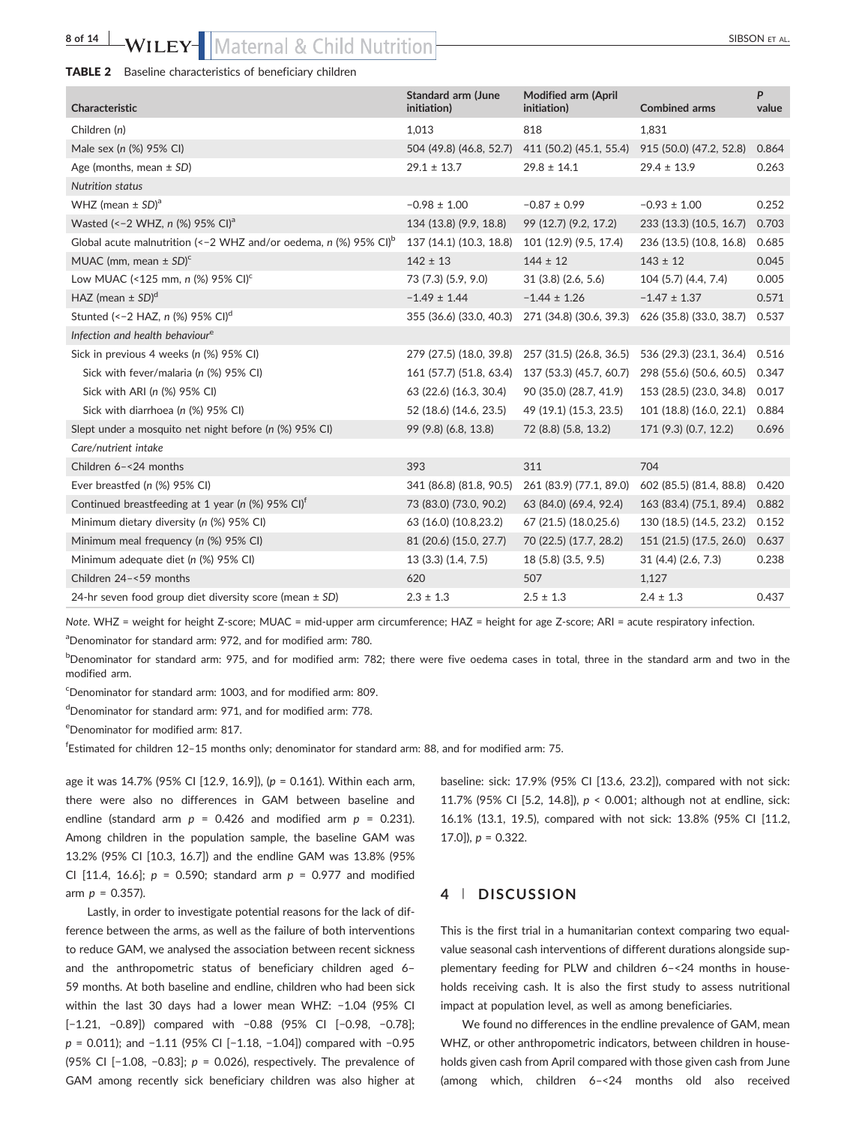## 8 of 14 **WILEY-** Maternal & Child Nutrition SIBSON ET AL.

#### TABLE 2 Baseline characteristics of beneficiary children

| Characteristic                                                                 | <b>Standard arm (June</b><br>initiation) | <b>Modified arm (April</b><br>initiation) | <b>Combined arms</b>    | P<br>value |
|--------------------------------------------------------------------------------|------------------------------------------|-------------------------------------------|-------------------------|------------|
| Children (n)                                                                   | 1.013                                    | 818                                       | 1,831                   |            |
| Male sex (n (%) 95% CI)                                                        | 504 (49.8) (46.8, 52.7)                  | 411 (50.2) (45.1, 55.4)                   | 915 (50.0) (47.2, 52.8) | 0.864      |
| Age (months, mean $\pm$ SD)                                                    | $29.1 \pm 13.7$                          | $29.8 \pm 14.1$                           | $29.4 \pm 13.9$         | 0.263      |
| <b>Nutrition status</b>                                                        |                                          |                                           |                         |            |
| WHZ (mean $\pm$ SD) <sup>a</sup>                                               | $-0.98 \pm 1.00$                         | $-0.87 \pm 0.99$                          | $-0.93 \pm 1.00$        | 0.252      |
| Wasted (<-2 WHZ, n (%) 95% CI) <sup>a</sup>                                    | 134 (13.8) (9.9, 18.8)                   | 99 (12.7) (9.2, 17.2)                     | 233 (13.3) (10.5, 16.7) | 0.703      |
| Global acute malnutrition (<-2 WHZ and/or oedema, $n$ (%) 95% CI) <sup>b</sup> | 137 (14.1) (10.3, 18.8)                  | 101 (12.9) (9.5, 17.4)                    | 236 (13.5) (10.8, 16.8) | 0.685      |
| MUAC (mm, mean $\pm$ SD) <sup>c</sup>                                          | $142 \pm 13$                             | $144 \pm 12$                              | $143 \pm 12$            | 0.045      |
| Low MUAC (<125 mm, n $\frac{1}{2}$ 95% CI) <sup>c</sup>                        | 73 (7.3) (5.9, 9.0)                      | 31(3.8)(2.6, 5.6)                         | 104 (5.7) (4.4, 7.4)    | 0.005      |
| HAZ (mean $\pm$ SD) <sup>d</sup>                                               | $-1.49 \pm 1.44$                         | $-1.44 \pm 1.26$                          | $-1.47 \pm 1.37$        | 0.571      |
| Stunted (<-2 HAZ, n $(\%)$ 95% CI) <sup>d</sup>                                | 355 (36.6) (33.0, 40.3)                  | 271 (34.8) (30.6, 39.3)                   | 626 (35.8) (33.0, 38.7) | 0.537      |
| Infection and health behaviour <sup>e</sup>                                    |                                          |                                           |                         |            |
| Sick in previous 4 weeks (n (%) 95% CI)                                        | 279 (27.5) (18.0, 39.8)                  | 257 (31.5) (26.8, 36.5)                   | 536 (29.3) (23.1, 36.4) | 0.516      |
| Sick with fever/malaria (n (%) 95% CI)                                         | 161 (57.7) (51.8, 63.4)                  | 137 (53.3) (45.7, 60.7)                   | 298 (55.6) (50.6, 60.5) | 0.347      |
| Sick with ARI (n (%) 95% CI)                                                   | 63 (22.6) (16.3, 30.4)                   | 90 (35.0) (28.7, 41.9)                    | 153 (28.5) (23.0, 34.8) | 0.017      |
| Sick with diarrhoea (n (%) 95% CI)                                             | 52 (18.6) (14.6, 23.5)                   | 49 (19.1) (15.3, 23.5)                    | 101 (18.8) (16.0, 22.1) | 0.884      |
| Slept under a mosquito net night before (n (%) 95% CI)                         | 99 (9.8) (6.8, 13.8)                     | 72 (8.8) (5.8, 13.2)                      | 171 (9.3) (0.7, 12.2)   | 0.696      |
| Care/nutrient intake                                                           |                                          |                                           |                         |            |
| Children 6-<24 months                                                          | 393                                      | 311                                       | 704                     |            |
| Ever breastfed (n (%) 95% CI)                                                  | 341 (86.8) (81.8, 90.5)                  | 261 (83.9) (77.1, 89.0)                   | 602 (85.5) (81.4, 88.8) | 0.420      |
| Continued breastfeeding at 1 year (n $(\%)$ 95% CI) <sup>t</sup>               | 73 (83.0) (73.0, 90.2)                   | 63 (84.0) (69.4, 92.4)                    | 163 (83.4) (75.1, 89.4) | 0.882      |
| Minimum dietary diversity (n (%) 95% CI)                                       | 63 (16.0) (10.8,23.2)                    | 67 (21.5) (18.0,25.6)                     | 130 (18.5) (14.5, 23.2) | 0.152      |
| Minimum meal frequency (n (%) 95% CI)                                          | 81 (20.6) (15.0, 27.7)                   | 70 (22.5) (17.7, 28.2)                    | 151 (21.5) (17.5, 26.0) | 0.637      |
| Minimum adequate diet (n (%) 95% CI)                                           | 13(3.3)(1.4, 7.5)                        | 18 (5.8) (3.5, 9.5)                       | 31(4.4)(2.6, 7.3)       | 0.238      |
| Children 24-<59 months                                                         | 620                                      | 507                                       | 1,127                   |            |
| 24-hr seven food group diet diversity score (mean $\pm$ SD)                    | $2.3 \pm 1.3$                            | $2.5 \pm 1.3$                             | $2.4 \pm 1.3$           | 0.437      |

*Note*. WHZ = weight for height Z‐score; MUAC = mid‐upper arm circumference; HAZ = height for age Z‐score; ARI = acute respiratory infection.

a Denominator for standard arm: 972, and for modified arm: 780.

b<sub>Denominator for standard arm: 975, and for modified arm: 782; there were five oedema cases in total, three in the standard arm and two in the</sub> modified arm.

c Denominator for standard arm: 1003, and for modified arm: 809.

d Denominator for standard arm: 971, and for modified arm: 778.

e Denominator for modified arm: 817.

f Estimated for children 12–15 months only; denominator for standard arm: 88, and for modified arm: 75.

age it was 14.7% (95% CI [12.9, 16.9]), (*p* = 0.161). Within each arm, there were also no differences in GAM between baseline and endline (standard arm  $p = 0.426$  and modified arm  $p = 0.231$ ). Among children in the population sample, the baseline GAM was 13.2% (95% CI [10.3, 16.7]) and the endline GAM was 13.8% (95% CI [11.4, 16.6]; *p* = 0.590; standard arm *p* = 0.977 and modified arm *p* = 0.357).

Lastly, in order to investigate potential reasons for the lack of difference between the arms, as well as the failure of both interventions to reduce GAM, we analysed the association between recent sickness and the anthropometric status of beneficiary children aged 6– 59 months. At both baseline and endline, children who had been sick within the last 30 days had a lower mean WHZ: -1.04 (95% CI [−1.21, −0.89]) compared with −0.88 (95% CI [−0.98, −0.78]; *p* = 0.011); and −1.11 (95% CI [−1.18, −1.04]) compared with −0.95 (95% CI [−1.08, −0.83]; *p* = 0.026), respectively. The prevalence of GAM among recently sick beneficiary children was also higher at baseline: sick: 17.9% (95% CI [13.6, 23.2]), compared with not sick: 11.7% (95% CI [5.2, 14.8]), *p* < 0.001; although not at endline, sick: 16.1% (13.1, 19.5), compared with not sick: 13.8% (95% CI [11.2, 17.0]), *p* = 0.322.

### **4** | **DISCUSSION**

This is the first trial in a humanitarian context comparing two equalvalue seasonal cash interventions of different durations alongside supplementary feeding for PLW and children 6–<24 months in households receiving cash. It is also the first study to assess nutritional impact at population level, as well as among beneficiaries.

We found no differences in the endline prevalence of GAM, mean WHZ, or other anthropometric indicators, between children in households given cash from April compared with those given cash from June (among which, children 6–<24 months old also received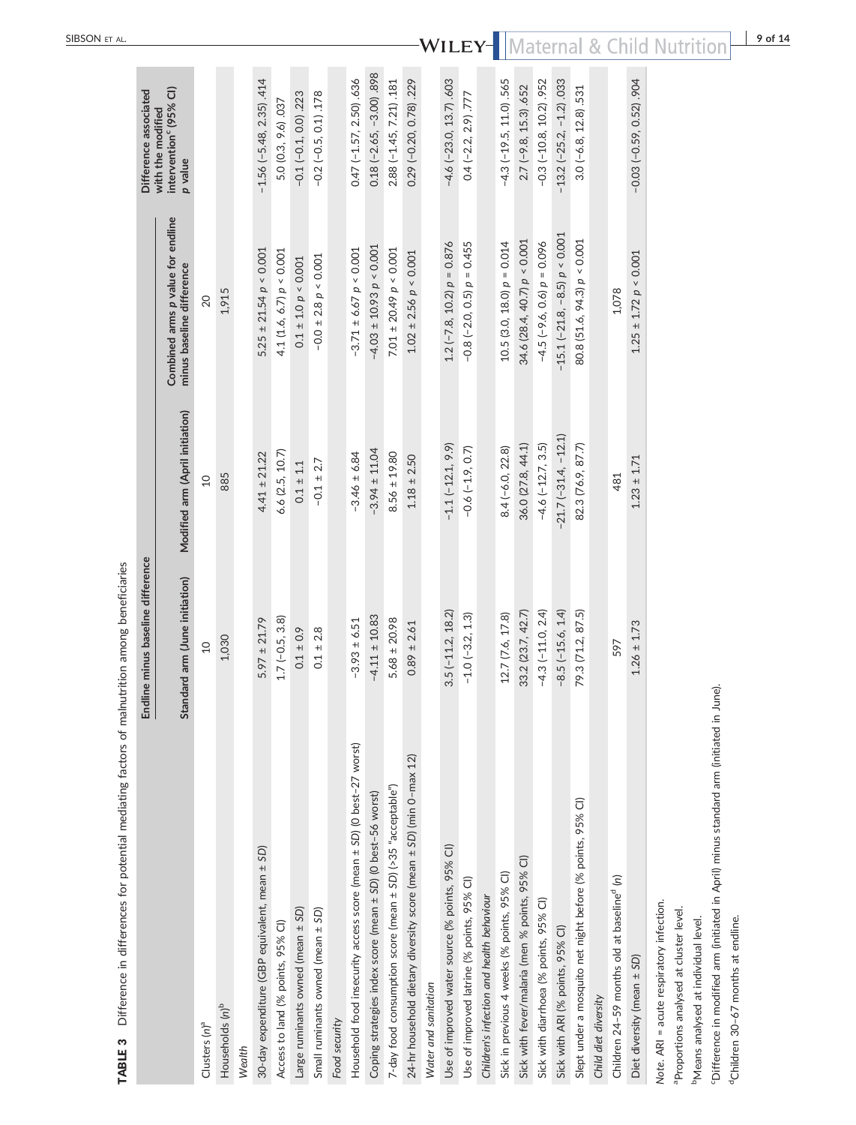|                                                                      | Endline minus baseline difference |                                 |                                                                | Difference associated                                              |
|----------------------------------------------------------------------|-----------------------------------|---------------------------------|----------------------------------------------------------------|--------------------------------------------------------------------|
|                                                                      | Standard arm (June initiation)    | Modified arm (April initiation) | Combined arms p value for endline<br>minus baseline difference | intervention <sup>c</sup> (95% CI)<br>with the modified<br>p value |
| Clusters (n) <sup>a</sup>                                            | $\Omega$                          | $\overline{c}$                  | 20                                                             |                                                                    |
| Households (n) <sup>b</sup>                                          | 1,030                             | 885                             | 1,915                                                          |                                                                    |
| Wealth                                                               |                                   |                                 |                                                                |                                                                    |
| 30-day expenditure (GBP equivalent, mean ± SD)                       | $5.97 \pm 21.79$                  | $4.41 \pm 21.22$                | $5.25 \pm 21.54 p < 0.001$                                     | $-1.56$ ( $-5.48$ , 2.35) .414                                     |
| Access to land (% points, 95% CI)                                    | $1.7(-0.5, 3.8)$                  | 6.6 (2.5, 10.7)                 | 4.1 (1.6, 6.7) $p < 0.001$                                     | 5.0 (0.3, 9.6) .037                                                |
| Large ruminants owned (mean ± SD)                                    | $0.1 \pm 0.9$                     | $0.1 \pm 1.1$                   | $0.1 \pm 1.0 p < 0.001$                                        | $-0.1(-0.1, 0.0)$ .223                                             |
| Small ruminants owned (mean ± SD)                                    | $0.1 \pm 2.8$                     | $-0.1 \pm 2.7$                  | $-0.0 \pm 2.8 \, p \leq 0.001$                                 | $-0.2$ ( $-0.5$ , 0.1) .178                                        |
| Food security                                                        |                                   |                                 |                                                                |                                                                    |
| Household food insecurity access score (mean ± SD) (0 best-27 worst) | $-3.93 \pm 6.51$                  | $-3.46 \pm 6.84$                | $-3.71 \pm 6.67 p < 0.001$                                     | $0.47 (-1.57, 2.50) .636$                                          |
| Coping strategies index score (mean ± SD) (O best-56 worst)          | $-4.11 \pm 10.83$                 | $-3.94 \pm 11.04$               | $-4.03 \pm 10.93 p < 0.001$                                    | $0.18 (-2.65, -3.00)$ .898                                         |
| 7-day food consumption score (mean ± SD) (>35 "acceptable")          | $5.68 \pm 20.98$                  | $8.56 \pm 19.80$                | $7.01 \pm 20.49$ $p < 0.001$                                   | 2.88 (-1.45, 7.21) .181                                            |
| 24-hr household dietary diversity score (mean ± SD) (min 0-max 12)   | $0.89 \pm 2.61$                   | $1.18 \pm 2.50$                 | $1.02 \pm 2.56 p \le 0.001$                                    | 0.29 (-0.20, 0.78) .229                                            |
| Water and sanitation                                                 |                                   |                                 |                                                                |                                                                    |
| Use of improved water source (% points, 95% CI)                      | $3.5(-11.2, 18.2)$                | $-1.1$ $(-12.1, 9.9)$           | $1.2$ (-7.8, 10.2) $p = 0.876$                                 | $-4.6$ $(-23.0, 13.7)$ .603                                        |
| Use of improved latrine (% points, 95% CI)                           | $-1.0$ ( $-3.2$ , 1.3)            | $-0.6(-1.9, 0.7)$               | $-0.8$ $(-2.0, 0.5)$ $p = 0.455$                               | $0.4$ (-2.2, 2.9) $.777$                                           |
| Children's infection and health behaviour                            |                                   |                                 |                                                                |                                                                    |
| Sick in previous 4 weeks (% points, 95% CI)                          | 12.7 (7.6, 17.8)                  | $8.4(-6.0, 22.8)$               | $10.5(3.0, 18.0) p = 0.014$                                    | $-4.3$ $(-19.5, 11.0)$ .565                                        |
| Sick with fever/malaria (men % points, 95% CI)                       | 33.2 (23.7, 42.7)                 | 36.0 (27.8, 44.1)               | 34.6 (28.4, 40.7) $p < 0.001$                                  | $2.7$ (-9.8, 15.3) $.652$                                          |
| Sick with diarrhoea (% points, 95% Cl)                               | $-4.3(-11.0, 2.4)$                | $-4.6$ $(-12.7, 3.5)$           | $-4.5$ ( $-9.6$ , 0.6) $p = 0.096$                             | $-0.3(-10.8, 10.2)$ .952                                           |
| Sick with ARI (% points, 95% CI)                                     | $-8.5(-15.6, 1.4)$                | $-21.7$ $(-31.4, -12.1)$        | $-15.1$ ( $-21.8$ , $-8.5$ ) $p < 0.001$                       | $-13.2$ $(-25.2, -1.2)$ 033                                        |
| Slept under a mosquito net night before (% points, 95% Cl)           | 79.3 (71.2, 87.5)                 | 82.3 (76.9, 87.7)               | 80.8 (51.6, 94.3) $p < 0.001$                                  | $3.0(-6.8, 12.8)$ . 531                                            |
| Child diet diversity                                                 |                                   |                                 |                                                                |                                                                    |
| Children 24-59 months old at baseline <sup>d</sup> (n)               | 597                               | 481                             | 1,078                                                          |                                                                    |
| Diet diversity (mean ± SD)                                           | $1.26 \pm 1.73$                   | $1.23 \pm 1.71$                 | $1.25 \pm 1.72 p \le 0.001$                                    | $-0.03(-0.59, 0.52)$ .904                                          |
|                                                                      |                                   |                                 |                                                                |                                                                    |

TABLE 3 Difference in differences for potential mediating factors of malnutrition among beneficiaries TABLE 3 Difference in differences for potential mediating factors of malnutrition among beneficiaries

Note. ARI = acute respiratory infection. *Note*. ARI = acute respiratory infection.

<sup>a</sup>Proportions analysed at cluster level. aProportions analysed at cluster level.

<sup>b</sup>Means analysed at individual level. bMeans analysed at individual level.

"Difference in modified arm (initiated in April) minus standard arm (initiated in June). cDifference in modified arm (initiated in April) minus standard arm (initiated in June).

dChildren 30-67 months at endline. dChildren 30–67 months at endline.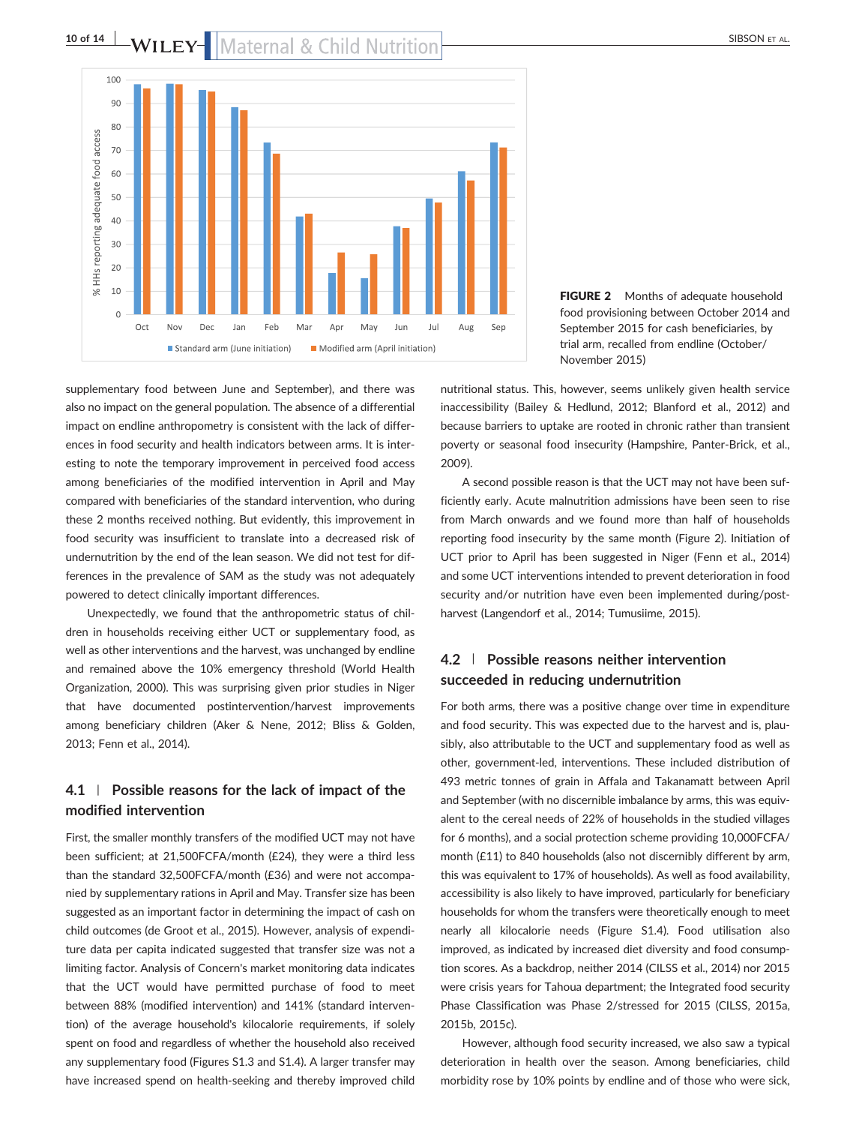

## 10 of 14 **bs** by LEY Maternal & Child Nutrition



FIGURE 2 Months of adequate household food provisioning between October 2014 and September 2015 for cash beneficiaries, by trial arm, recalled from endline (October/ November 2015)

supplementary food between June and September), and there was also no impact on the general population. The absence of a differential impact on endline anthropometry is consistent with the lack of differences in food security and health indicators between arms. It is interesting to note the temporary improvement in perceived food access among beneficiaries of the modified intervention in April and May compared with beneficiaries of the standard intervention, who during these 2 months received nothing. But evidently, this improvement in food security was insufficient to translate into a decreased risk of undernutrition by the end of the lean season. We did not test for differences in the prevalence of SAM as the study was not adequately powered to detect clinically important differences.

Unexpectedly, we found that the anthropometric status of children in households receiving either UCT or supplementary food, as well as other interventions and the harvest, was unchanged by endline and remained above the 10% emergency threshold (World Health Organization, 2000). This was surprising given prior studies in Niger that have documented postintervention/harvest improvements among beneficiary children (Aker & Nene, 2012; Bliss & Golden, 2013; Fenn et al., 2014).

## **4.1** | **Possible reasons for the lack of impact of the modified intervention**

First, the smaller monthly transfers of the modified UCT may not have been sufficient; at 21,500FCFA/month (£24), they were a third less than the standard 32,500FCFA/month (£36) and were not accompanied by supplementary rations in April and May. Transfer size has been suggested as an important factor in determining the impact of cash on child outcomes (de Groot et al., 2015). However, analysis of expenditure data per capita indicated suggested that transfer size was not a limiting factor. Analysis of Concern's market monitoring data indicates that the UCT would have permitted purchase of food to meet between 88% (modified intervention) and 141% (standard intervention) of the average household's kilocalorie requirements, if solely spent on food and regardless of whether the household also received any supplementary food (Figures S1.3 and S1.4). A larger transfer may have increased spend on health‐seeking and thereby improved child nutritional status. This, however, seems unlikely given health service inaccessibility (Bailey & Hedlund, 2012; Blanford et al., 2012) and because barriers to uptake are rooted in chronic rather than transient poverty or seasonal food insecurity (Hampshire, Panter‐Brick, et al., 2009).

A second possible reason is that the UCT may not have been sufficiently early. Acute malnutrition admissions have been seen to rise from March onwards and we found more than half of households reporting food insecurity by the same month (Figure 2). Initiation of UCT prior to April has been suggested in Niger (Fenn et al., 2014) and some UCT interventions intended to prevent deterioration in food security and/or nutrition have even been implemented during/postharvest (Langendorf et al., 2014; Tumusiime, 2015).

## **4.2** | **Possible reasons neither intervention succeeded in reducing undernutrition**

For both arms, there was a positive change over time in expenditure and food security. This was expected due to the harvest and is, plausibly, also attributable to the UCT and supplementary food as well as other, government‐led, interventions. These included distribution of 493 metric tonnes of grain in Affala and Takanamatt between April and September (with no discernible imbalance by arms, this was equivalent to the cereal needs of 22% of households in the studied villages for 6 months), and a social protection scheme providing 10,000FCFA/ month (£11) to 840 households (also not discernibly different by arm, this was equivalent to 17% of households). As well as food availability, accessibility is also likely to have improved, particularly for beneficiary households for whom the transfers were theoretically enough to meet nearly all kilocalorie needs (Figure S1.4). Food utilisation also improved, as indicated by increased diet diversity and food consumption scores. As a backdrop, neither 2014 (CILSS et al., 2014) nor 2015 were crisis years for Tahoua department; the Integrated food security Phase Classification was Phase 2/stressed for 2015 (CILSS, 2015a, 2015b, 2015c).

However, although food security increased, we also saw a typical deterioration in health over the season. Among beneficiaries, child morbidity rose by 10% points by endline and of those who were sick,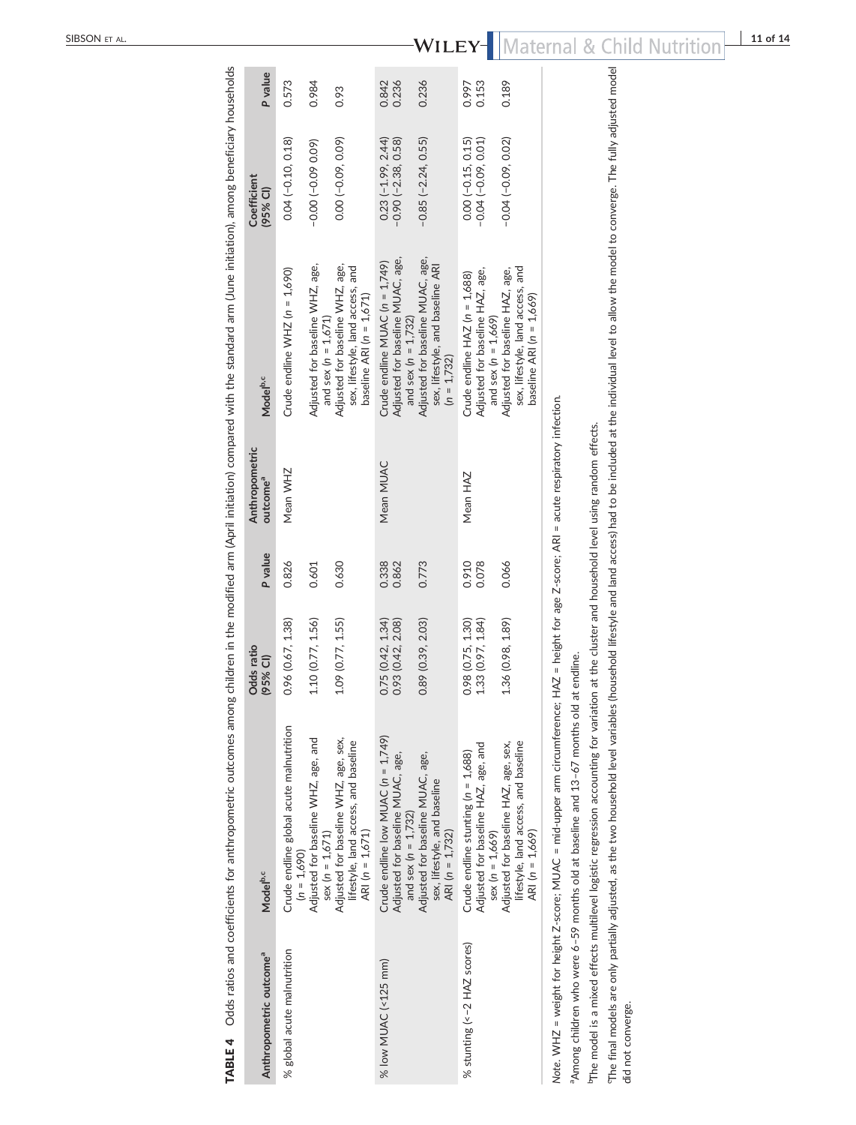|                                     |                                                                                                                                                                                                                                                                                                                                    | Odds ratio                             |                | Anthropometric                                           |                                                                                                     | Coefficient                                   |                |
|-------------------------------------|------------------------------------------------------------------------------------------------------------------------------------------------------------------------------------------------------------------------------------------------------------------------------------------------------------------------------------|----------------------------------------|----------------|----------------------------------------------------------|-----------------------------------------------------------------------------------------------------|-----------------------------------------------|----------------|
| Anthropometric outcome <sup>a</sup> | Model <sup>b,c</sup>                                                                                                                                                                                                                                                                                                               | 95% CI)                                | P value        | outcome <sup>ª</sup>                                     | Model <sup>b,c</sup>                                                                                | (95% CI)                                      | P value        |
| % global acute malnutrition         | Crude endline global acute malnutrition<br>$(n = 1.690)$                                                                                                                                                                                                                                                                           | 0.96 (0.67, 1.38)                      | 0.826          | Mean WHZ                                                 | Crude endline WHZ $(n = 1,690)$                                                                     | $0.04 (-0.10, 0.18)$                          | 0.573          |
|                                     | Adjusted for baseline WHZ, age, and<br>$sex (n = 1,671)$                                                                                                                                                                                                                                                                           | 1.10 (0.77, 1.56)                      | 0.601          |                                                          | Adjusted for baseline WHZ, age,<br>and sex ( $n = 1,671$ )                                          | $-0.00(-0.0900)$                              | 0.984          |
|                                     | Adjusted for baseline WHZ, age, sex,<br>lifestyle, land access, and baseline<br>ARI $(n = 1,671)$                                                                                                                                                                                                                                  | 1.09 (0.77, 1.55)                      | 0.630          |                                                          | Adjusted for baseline WHZ, age,<br>sex, lifestyle, land access, and<br>baseline ARI ( $n = 1,671$ ) | $0.00 (-0.09, 0.09)$                          | 0.93           |
| % low MUAC (<125 mm)                | Crude endline low MUAC (n = 1,749)<br>Adjusted for baseline MUAC, age,<br>and sex ( $n = 1,732$ )                                                                                                                                                                                                                                  | 0.75 (0.42, 1.34)<br>0.93 (0.42, 2.08) | 0.338<br>0.862 | Mean MUAC                                                | Adjusted for baseline MUAC, age,<br>Crude endline MUAC (n = 1,749)<br>and sex ( $n = 1,732$ )       | $-0.90(-2.38, 0.58)$<br>$0.23(-1.99, 2.44)$   | 0.236<br>0.842 |
|                                     | Adjusted for baseline MUAC, age,<br>sex, lifestyle, and baseline<br>ARI ( $n = 1,732$ )                                                                                                                                                                                                                                            | 0.89 (0.39, 2.03)                      | 0.773          |                                                          | Adjusted for baseline MUAC, age,<br>sex, lifestyle, and baseline ARI<br>$(n = 1,732)$               | $-0.85 (-2.24, 0.55)$                         | 0.236          |
| % stunting (<-2 HAZ scores)         | Adjusted for baseline HAZ, age, and<br>Crude endline stunting $(n = 1,688)$<br>$sex (n = 1.669)$                                                                                                                                                                                                                                   | 0.98 (0.75, 1.30)<br>1.33 (0.97, 1.84) | 0.910<br>0.078 | Mean HAZ                                                 | Adjusted for baseline HAZ, age,<br>Crude endline $HAZ$ ( $n = 1,688$ )<br>and sex $(n = 1.669)$     | $0.00 (-0.15, 0.15)$<br>$-0.04 (-0.09, 0.01)$ | 0.153<br>0.997 |
|                                     | lifestyle, land access, and baseline<br>Adjusted for baseline HAZ, age, sex,<br>ARI $(n = 1,669)$                                                                                                                                                                                                                                  | 1.36 (0.98, 1.89)                      | 0.066          |                                                          | sex, lifestyle, land access, and<br>Adjusted for baseline HAZ, age,<br>baseline ARI ( $n = 1,669$ ) | $-0.04(-0.09, 0.02)$                          | 0.189          |
|                                     | Note. WHZ = weight for height Z-score; MUAC = mid-upper arm circumference; HAZ = height for age Z-score; ARI = acute respiratory infection.<br><sup>a</sup> Among children who were 6-59 months old at baseline and 13-67 months old at                                                                                            | endline.                               |                |                                                          |                                                                                                     |                                               |                |
| did not converge.                   | "The final models are only partially adjusted, as the two household level variables (household lifestyle and land access) had to be included at the individual level to allow the model to converge. The fully adjusted model<br><sup>b</sup> The model is a mixed effects multilevel logistic regression accounting for variation |                                        |                | at the cluster and household level using random effects. |                                                                                                     |                                               |                |
|                                     |                                                                                                                                                                                                                                                                                                                                    |                                        |                |                                                          |                                                                                                     |                                               |                |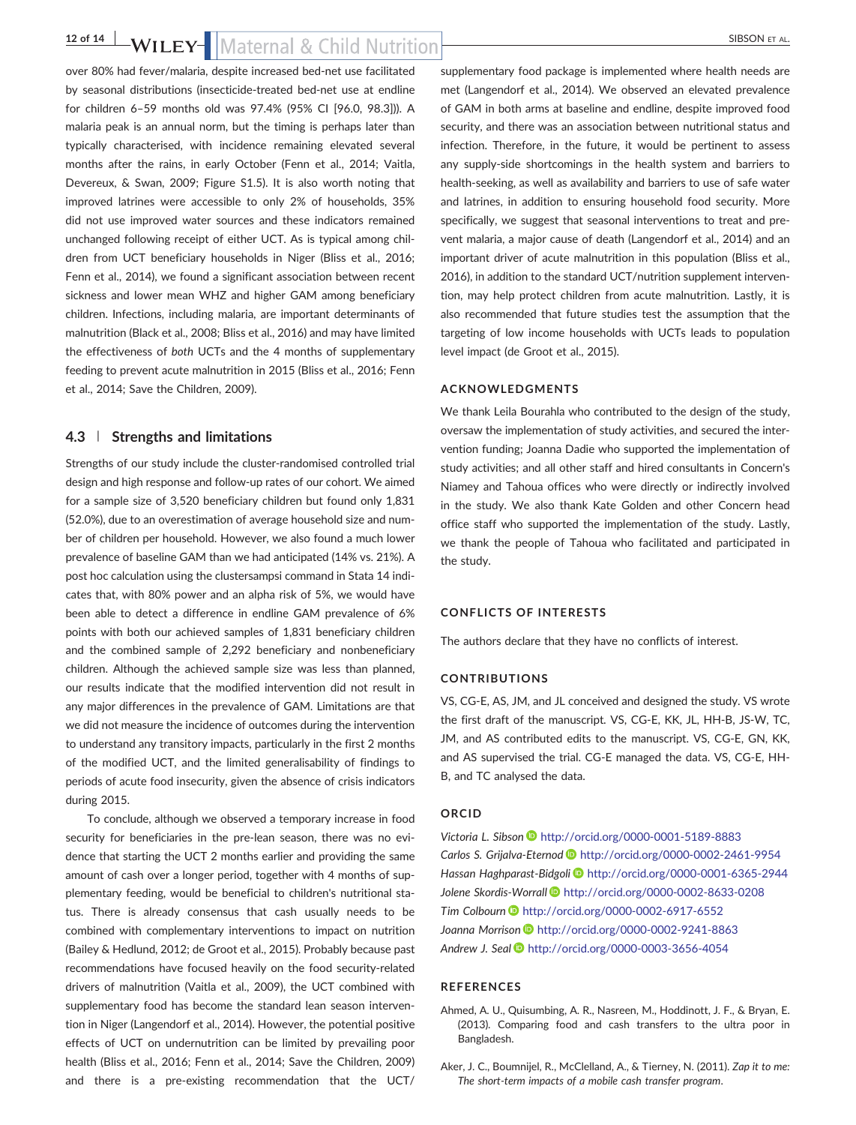## 12 of 14 **b** by BSON ET AL.

over 80% had fever/malaria, despite increased bed‐net use facilitated by seasonal distributions (insecticide‐treated bed‐net use at endline for children 6–59 months old was 97.4% (95% CI [96.0, 98.3])). A malaria peak is an annual norm, but the timing is perhaps later than typically characterised, with incidence remaining elevated several months after the rains, in early October (Fenn et al., 2014; Vaitla, Devereux, & Swan, 2009; Figure S1.5). It is also worth noting that improved latrines were accessible to only 2% of households, 35% did not use improved water sources and these indicators remained unchanged following receipt of either UCT. As is typical among children from UCT beneficiary households in Niger (Bliss et al., 2016; Fenn et al., 2014), we found a significant association between recent sickness and lower mean WHZ and higher GAM among beneficiary children. Infections, including malaria, are important determinants of malnutrition (Black et al., 2008; Bliss et al., 2016) and may have limited the effectiveness of *both* UCTs and the 4 months of supplementary feeding to prevent acute malnutrition in 2015 (Bliss et al., 2016; Fenn et al., 2014; Save the Children, 2009).

#### **4.3** | **Strengths and limitations**

Strengths of our study include the cluster-randomised controlled trial design and high response and follow‐up rates of our cohort. We aimed for a sample size of 3,520 beneficiary children but found only 1,831 (52.0%), due to an overestimation of average household size and number of children per household. However, we also found a much lower prevalence of baseline GAM than we had anticipated (14% vs. 21%). A post hoc calculation using the clustersampsi command in Stata 14 indicates that, with 80% power and an alpha risk of 5%, we would have been able to detect a difference in endline GAM prevalence of 6% points with both our achieved samples of 1,831 beneficiary children and the combined sample of 2,292 beneficiary and nonbeneficiary children. Although the achieved sample size was less than planned, our results indicate that the modified intervention did not result in any major differences in the prevalence of GAM. Limitations are that we did not measure the incidence of outcomes during the intervention to understand any transitory impacts, particularly in the first 2 months of the modified UCT, and the limited generalisability of findings to periods of acute food insecurity, given the absence of crisis indicators during 2015.

To conclude, although we observed a temporary increase in food security for beneficiaries in the pre‐lean season, there was no evidence that starting the UCT 2 months earlier and providing the same amount of cash over a longer period, together with 4 months of supplementary feeding, would be beneficial to children's nutritional status. There is already consensus that cash usually needs to be combined with complementary interventions to impact on nutrition (Bailey & Hedlund, 2012; de Groot et al., 2015). Probably because past recommendations have focused heavily on the food security-related drivers of malnutrition (Vaitla et al., 2009), the UCT combined with supplementary food has become the standard lean season intervention in Niger (Langendorf et al., 2014). However, the potential positive effects of UCT on undernutrition can be limited by prevailing poor health (Bliss et al., 2016; Fenn et al., 2014; Save the Children, 2009) and there is a pre‐existing recommendation that the UCT/

supplementary food package is implemented where health needs are met (Langendorf et al., 2014). We observed an elevated prevalence of GAM in both arms at baseline and endline, despite improved food security, and there was an association between nutritional status and infection. Therefore, in the future, it would be pertinent to assess any supply‐side shortcomings in the health system and barriers to health-seeking, as well as availability and barriers to use of safe water and latrines, in addition to ensuring household food security. More specifically, we suggest that seasonal interventions to treat and prevent malaria, a major cause of death (Langendorf et al., 2014) and an important driver of acute malnutrition in this population (Bliss et al., 2016), in addition to the standard UCT/nutrition supplement intervention, may help protect children from acute malnutrition. Lastly, it is also recommended that future studies test the assumption that the targeting of low income households with UCTs leads to population level impact (de Groot et al., 2015).

#### **ACKNOWLEDGMENTS**

We thank Leila Bourahla who contributed to the design of the study, oversaw the implementation of study activities, and secured the intervention funding; Joanna Dadie who supported the implementation of study activities; and all other staff and hired consultants in Concern's Niamey and Tahoua offices who were directly or indirectly involved in the study. We also thank Kate Golden and other Concern head office staff who supported the implementation of the study. Lastly, we thank the people of Tahoua who facilitated and participated in the study.

#### **CONFLICTS OF INTERESTS**

The authors declare that they have no conflicts of interest.

#### **CONTRIBUTIONS**

VS, CG‐E, AS, JM, and JL conceived and designed the study. VS wrote the first draft of the manuscript. VS, CG‐E, KK, JL, HH‐B, JS‐W, TC, JM, and AS contributed edits to the manuscript. VS, CG‐E, GN, KK, and AS supervised the trial. CG‐E managed the data. VS, CG‐E, HH‐ B, and TC analysed the data.

#### **ORCID**

*Victoria L. Sibson* <http://orcid.org/0000-0001-5189-8883> *Carlos S. Grijalva‐Eternod* <http://orcid.org/0000-0002-2461-9954> *Hassan Haghparast‐Bidgoli* <http://orcid.org/0000-0001-6365-2944> *Jolene Skordis‐Worrall* <http://orcid.org/0000-0002-8633-0208> **Tim Colbourn D** <http://orcid.org/0000-0002-6917-6552> *Joanna Morrison* <http://orcid.org/0000-0002-9241-8863> *Andrew J. Seal* <http://orcid.org/0000-0003-3656-4054>

#### **REFERENCES**

- Ahmed, A. U., Quisumbing, A. R., Nasreen, M., Hoddinott, J. F., & Bryan, E. (2013). Comparing food and cash transfers to the ultra poor in Bangladesh.
- Aker, J. C., Boumnijel, R., McClelland, A., & Tierney, N. (2011). *Zap it to me: The short‐term impacts of a mobile cash transfer program*.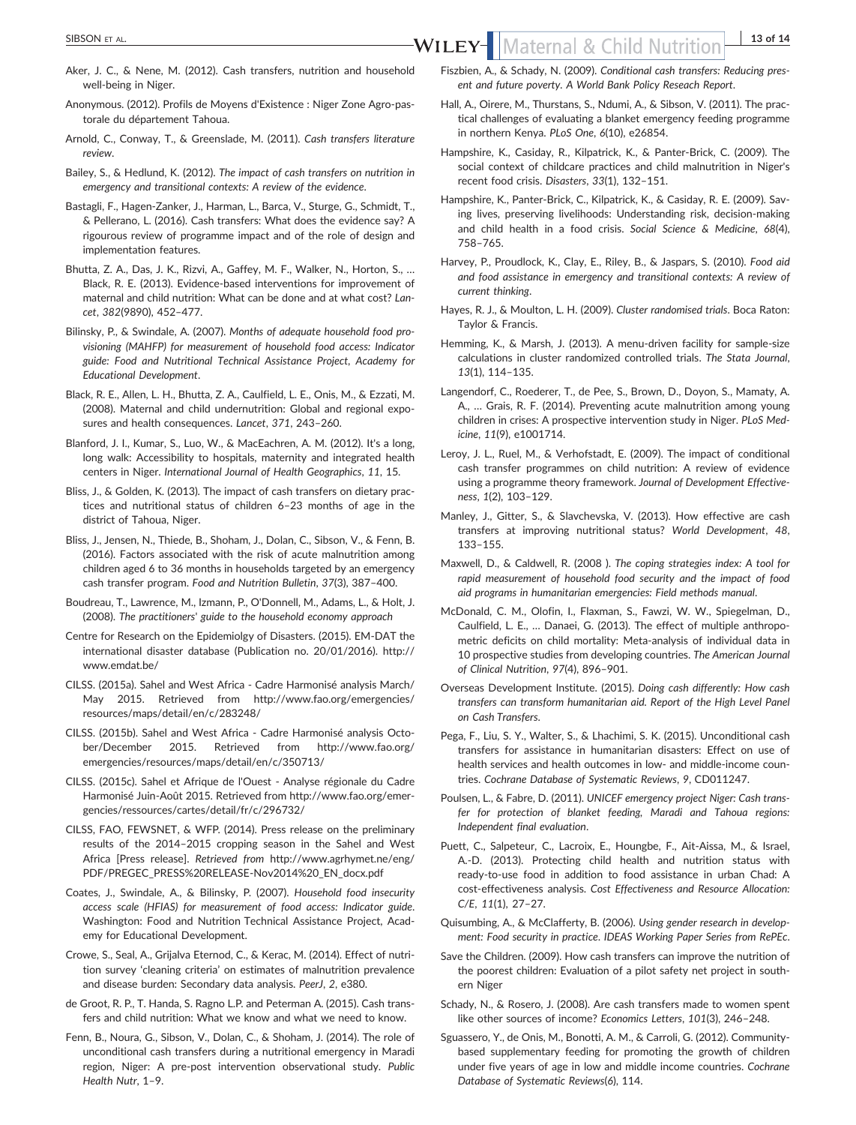- Aker, J. C., & Nene, M. (2012). Cash transfers, nutrition and household well‐being in Niger.
- Anonymous. (2012). Profils de Moyens d'Existence : Niger Zone Agro‐pastorale du département Tahoua.
- Arnold, C., Conway, T., & Greenslade, M. (2011). *Cash transfers literature review*.
- Bailey, S., & Hedlund, K. (2012). *The impact of cash transfers on nutrition in emergency and transitional contexts: A review of the evidence*.
- Bastagli, F., Hagen‐Zanker, J., Harman, L., Barca, V., Sturge, G., Schmidt, T., & Pellerano, L. (2016). Cash transfers: What does the evidence say? A rigourous review of programme impact and of the role of design and implementation features.
- Bhutta, Z. A., Das, J. K., Rizvi, A., Gaffey, M. F., Walker, N., Horton, S., … Black, R. E. (2013). Evidence‐based interventions for improvement of maternal and child nutrition: What can be done and at what cost? *Lancet*, *382*(9890), 452–477.
- Bilinsky, P., & Swindale, A. (2007). *Months of adequate household food provisioning (MAHFP) for measurement of household food access: Indicator guide: Food and Nutritional Technical Assistance Project, Academy for Educational Development*.
- Black, R. E., Allen, L. H., Bhutta, Z. A., Caulfield, L. E., Onis, M., & Ezzati, M. (2008). Maternal and child undernutrition: Global and regional exposures and health consequences. *Lancet*, *371*, 243–260.
- Blanford, J. I., Kumar, S., Luo, W., & MacEachren, A. M. (2012). It's a long, long walk: Accessibility to hospitals, maternity and integrated health centers in Niger. *International Journal of Health Geographics*, *11*, 15.
- Bliss, J., & Golden, K. (2013). The impact of cash transfers on dietary practices and nutritional status of children 6–23 months of age in the district of Tahoua, Niger.
- Bliss, J., Jensen, N., Thiede, B., Shoham, J., Dolan, C., Sibson, V., & Fenn, B. (2016). Factors associated with the risk of acute malnutrition among children aged 6 to 36 months in households targeted by an emergency cash transfer program. *Food and Nutrition Bulletin*, *37*(3), 387–400.
- Boudreau, T., Lawrence, M., Izmann, P., O'Donnell, M., Adams, L., & Holt, J. (2008). *The practitioners*' *guide to the household economy approach*
- Centre for Research on the Epidemiolgy of Disasters. (2015). EM‐DAT the international disaster database (Publication no. 20/01/2016). [http://](http://www.emdat.be/) [www.emdat.be/](http://www.emdat.be/)
- CILSS. (2015a). Sahel and West Africa ‐ Cadre Harmonisé analysis March/ May 2015. Retrieved from [http://www.fao.org/emergencies/](http://www.fao.org/emergencies/resources/maps/detail/en/c/283248/) [resources/maps/detail/en/c/283248/](http://www.fao.org/emergencies/resources/maps/detail/en/c/283248/)
- CILSS. (2015b). Sahel and West Africa ‐ Cadre Harmonisé analysis October/December 2015. Retrieved from [http://www.fao.org/](http://www.fao.org/emergencies/resources/maps/detail/en/c/350713/) [emergencies/resources/maps/detail/en/c/350713/](http://www.fao.org/emergencies/resources/maps/detail/en/c/350713/)
- CILSS. (2015c). Sahel et Afrique de l'Ouest ‐ Analyse régionale du Cadre Harmonisé Juin‐Août 2015. Retrieved from [http://www.fao.org/emer](http://www.fao.org/emergencies/ressources/cartes/detail/fr/c/296732/)[gencies/ressources/cartes/detail/fr/c/296732/](http://www.fao.org/emergencies/ressources/cartes/detail/fr/c/296732/)
- CILSS, FAO, FEWSNET, & WFP. (2014). Press release on the preliminary results of the 2014–2015 cropping season in the Sahel and West Africa [Press release]. *Retrieved from* [http://www.agrhymet.ne/eng/](http://www.agrhymet.ne/eng/PDF/PREGEC_PRESS%20RELEASE-Nov2014%20_EN_docx.pdf) [PDF/PREGEC\\_PRESS%20RELEASE](http://www.agrhymet.ne/eng/PDF/PREGEC_PRESS%20RELEASE-Nov2014%20_EN_docx.pdf)‐Nov2014%20\_EN\_docx.pdf
- Coates, J., Swindale, A., & Bilinsky, P. (2007). *Household food insecurity access scale (HFIAS) for measurement of food access: Indicator guide*. Washington: Food and Nutrition Technical Assistance Project, Academy for Educational Development.
- Crowe, S., Seal, A., Grijalva Eternod, C., & Kerac, M. (2014). Effect of nutrition survey 'cleaning criteria' on estimates of malnutrition prevalence and disease burden: Secondary data analysis. *PeerJ*, *2*, e380.
- de Groot, R. P., T. Handa, S. Ragno L.P. and Peterman A. (2015). Cash transfers and child nutrition: What we know and what we need to know.
- Fenn, B., Noura, G., Sibson, V., Dolan, C., & Shoham, J. (2014). The role of unconditional cash transfers during a nutritional emergency in Maradi region, Niger: A pre‐post intervention observational study. *Public Health Nutr*, 1–9.
- Fiszbien, A., & Schady, N. (2009). *Conditional cash transfers: Reducing present and future poverty. A World Bank Policy Reseach Report*.
- Hall, A., Oirere, M., Thurstans, S., Ndumi, A., & Sibson, V. (2011). The practical challenges of evaluating a blanket emergency feeding programme in northern Kenya. *PLoS One*, *6*(10), e26854.
- Hampshire, K., Casiday, R., Kilpatrick, K., & Panter‐Brick, C. (2009). The social context of childcare practices and child malnutrition in Niger's recent food crisis. *Disasters*, *33*(1), 132–151.
- Hampshire, K., Panter‐Brick, C., Kilpatrick, K., & Casiday, R. E. (2009). Saving lives, preserving livelihoods: Understanding risk, decision‐making and child health in a food crisis. *Social Science & Medicine*, *68*(4), 758–765.
- Harvey, P., Proudlock, K., Clay, E., Riley, B., & Jaspars, S. (2010). *Food aid and food assistance in emergency and transitional contexts: A review of current thinking*.
- Hayes, R. J., & Moulton, L. H. (2009). *Cluster randomised trials*. Boca Raton: Taylor & Francis.
- Hemming, K., & Marsh, J. (2013). A menu‐driven facility for sample‐size calculations in cluster randomized controlled trials. *The Stata Journal*, *13*(1), 114–135.
- Langendorf, C., Roederer, T., de Pee, S., Brown, D., Doyon, S., Mamaty, A. A., … Grais, R. F. (2014). Preventing acute malnutrition among young children in crises: A prospective intervention study in Niger. *PLoS Medicine*, *11*(9), e1001714.
- Leroy, J. L., Ruel, M., & Verhofstadt, E. (2009). The impact of conditional cash transfer programmes on child nutrition: A review of evidence using a programme theory framework. *Journal of Development Effectiveness*, *1*(2), 103–129.
- Manley, J., Gitter, S., & Slavchevska, V. (2013). How effective are cash transfers at improving nutritional status? *World Development*, *48*, 133–155.
- Maxwell, D., & Caldwell, R. (2008 ). *The coping strategies index: A tool for rapid measurement of household food security and the impact of food aid programs in humanitarian emergencies: Field methods manual*.
- McDonald, C. M., Olofin, I., Flaxman, S., Fawzi, W. W., Spiegelman, D., Caulfield, L. E., … Danaei, G. (2013). The effect of multiple anthropometric deficits on child mortality: Meta‐analysis of individual data in 10 prospective studies from developing countries. *The American Journal of Clinical Nutrition*, *97*(4), 896–901.
- Overseas Development Institute. (2015). *Doing cash differently: How cash transfers can transform humanitarian aid. Report of the High Level Panel on Cash Transfers*.
- Pega, F., Liu, S. Y., Walter, S., & Lhachimi, S. K. (2015). Unconditional cash transfers for assistance in humanitarian disasters: Effect on use of health services and health outcomes in low- and middle-income countries. *Cochrane Database of Systematic Reviews*, *9*, CD011247.
- Poulsen, L., & Fabre, D. (2011). *UNICEF emergency project Niger: Cash transfer for protection of blanket feeding, Maradi and Tahoua regions: Independent final evaluation*.
- Puett, C., Salpeteur, C., Lacroix, E., Houngbe, F., Ait‐Aissa, M., & Israel, A.‐D. (2013). Protecting child health and nutrition status with ready‐to‐use food in addition to food assistance in urban Chad: A cost‐effectiveness analysis. *Cost Effectiveness and Resource Allocation: C/E*, *11*(1), 27–27.
- Quisumbing, A., & McClafferty, B. (2006). *Using gender research in development: Food security in practice*. *IDEAS Working Paper Series from RePEc*.
- Save the Children. (2009). How cash transfers can improve the nutrition of the poorest children: Evaluation of a pilot safety net project in southern Niger
- Schady, N., & Rosero, J. (2008). Are cash transfers made to women spent like other sources of income? *Economics Letters*, *101*(3), 246–248.
- Sguassero, Y., de Onis, M., Bonotti, A. M., & Carroli, G. (2012). Community‐ based supplementary feeding for promoting the growth of children under five years of age in low and middle income countries. *Cochrane Database of Systematic Reviews*(*6*), 114.